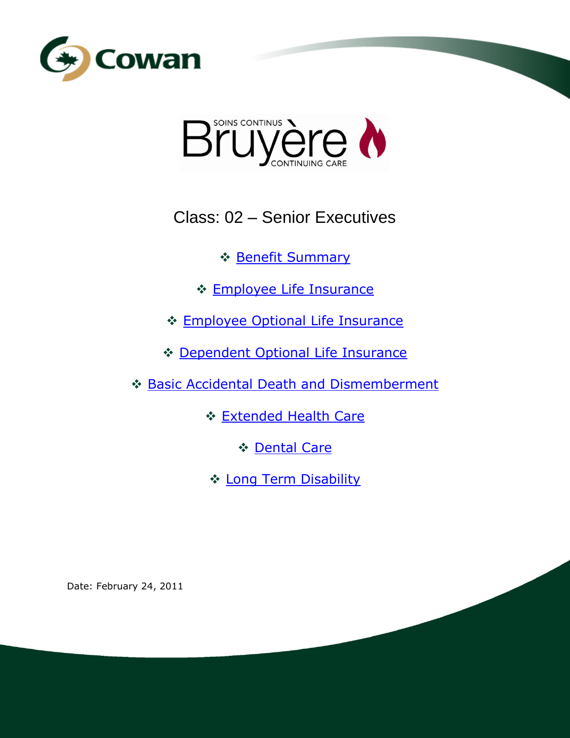



Class: 02 – Senior Executives

❖ [Benefit Summary](#page-3-0)

[Employee Life Insurance](#page-19-0)

**[Employee Optional Life Insurance](#page-20-0)** 

[Dependent Optional Life Insurance](#page-22-0)

[Basic Accidental Death and Dismemberment](#page-24-0)

**[Extended Health Care](#page-33-0)** 

[Dental Care](#page-42-0)

[Long Term Disability](#page-47-0)

Date: February 24, 2011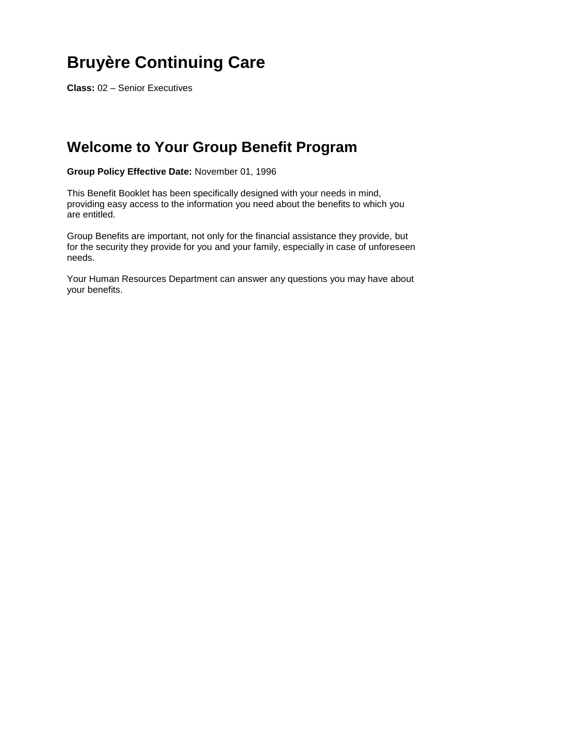# **Bruyère Continuing Care**

**Class:** 02 – Senior Executives

## **Welcome to Your Group Benefit Program**

**Group Policy Effective Date:** November 01, 1996

This Benefit Booklet has been specifically designed with your needs in mind, providing easy access to the information you need about the benefits to which you are entitled.

Group Benefits are important, not only for the financial assistance they provide, but for the security they provide for you and your family, especially in case of unforeseen needs.

Your Human Resources Department can answer any questions you may have about your benefits.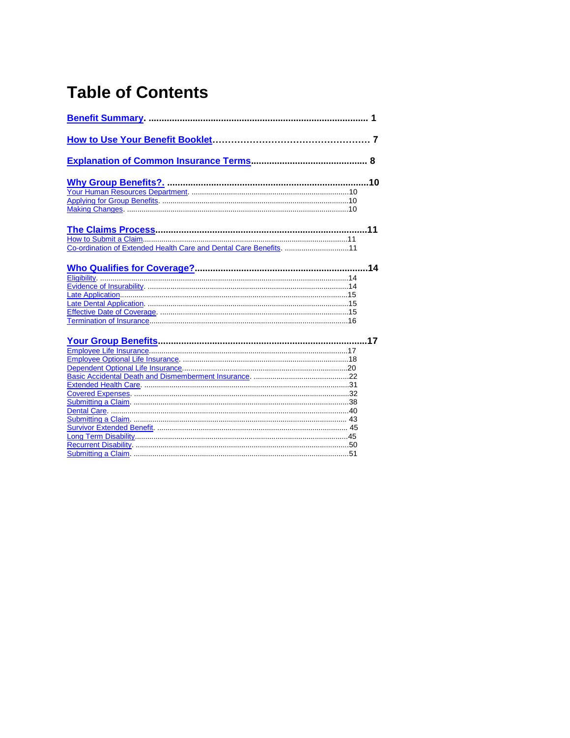# **Table of Contents**

| Co-ordination of Extended Health Care and Dental Care Benefits. 11 |  |
|--------------------------------------------------------------------|--|
|                                                                    |  |
|                                                                    |  |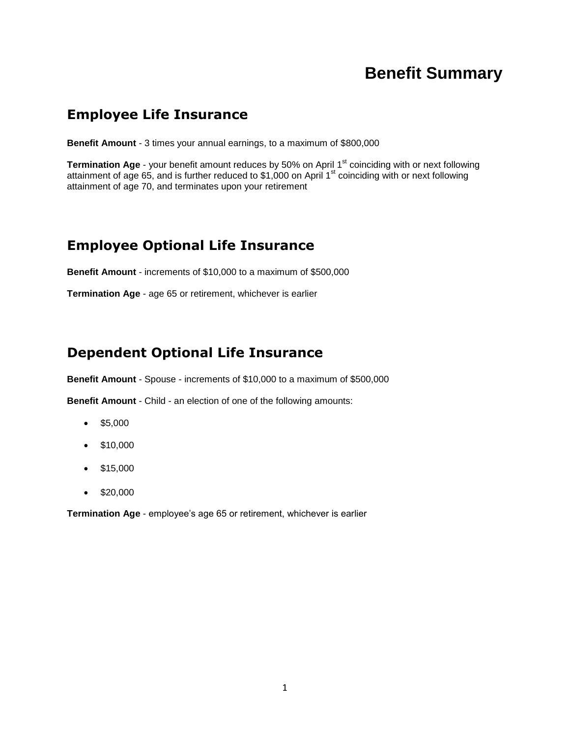### <span id="page-3-0"></span>**Employee Life Insurance**

**Benefit Amount** - 3 times your annual earnings, to a maximum of \$800,000

Termination Age - your benefit amount reduces by 50% on April 1<sup>st</sup> coinciding with or next following attainment of age 65, and is further reduced to \$1,000 on April  $1<sup>st</sup>$  coinciding with or next following attainment of age 70, and terminates upon your retirement

### **Employee Optional Life Insurance**

**Benefit Amount** - increments of \$10,000 to a maximum of \$500,000

**Termination Age** - age 65 or retirement, whichever is earlier

### **Dependent Optional Life Insurance**

**Benefit Amount** - Spouse - increments of \$10,000 to a maximum of \$500,000

**Benefit Amount** - Child - an election of one of the following amounts:

- $•$  \$5,000
- $•$  \$10,000
- \$15,000
- $\bullet$  \$20,000

**Termination Age** - employee's age 65 or retirement, whichever is earlier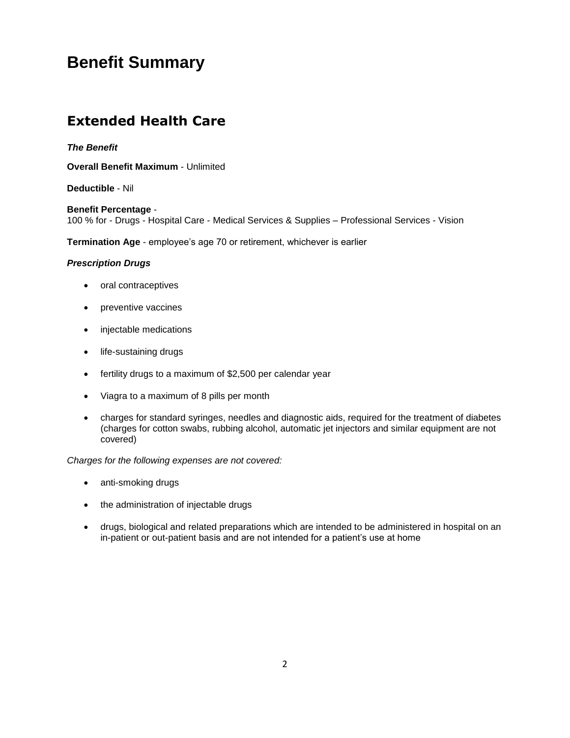### **Extended Health Care**

#### *The Benefit*

**Overall Benefit Maximum** - Unlimited

**Deductible** - Nil

**Benefit Percentage** - 100 % for - Drugs - Hospital Care - Medical Services & Supplies – Professional Services - Vision

**Termination Age** - employee's age 70 or retirement, whichever is earlier

#### *Prescription Drugs*

- oral contraceptives
- preventive vaccines
- injectable medications
- life-sustaining drugs
- fertility drugs to a maximum of \$2,500 per calendar year
- Viagra to a maximum of 8 pills per month
- charges for standard syringes, needles and diagnostic aids, required for the treatment of diabetes (charges for cotton swabs, rubbing alcohol, automatic jet injectors and similar equipment are not covered)

*Charges for the following expenses are not covered:*

- anti-smoking drugs
- the administration of injectable drugs
- drugs, biological and related preparations which are intended to be administered in hospital on an in-patient or out-patient basis and are not intended for a patient's use at home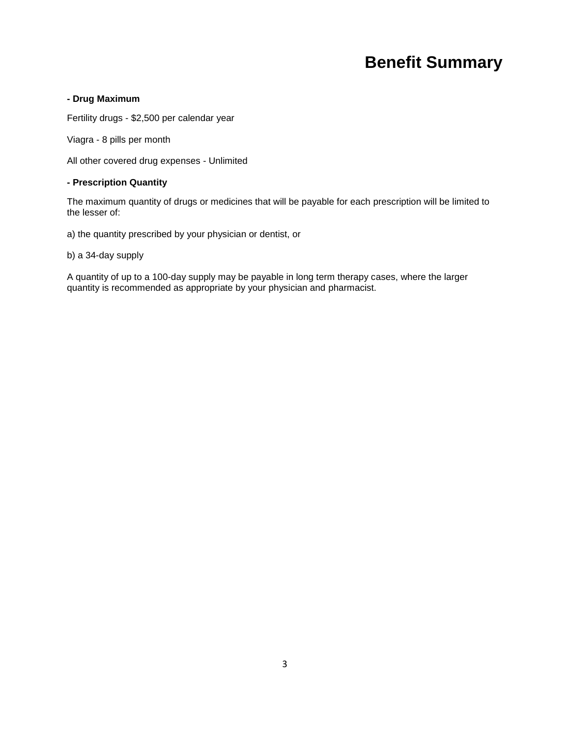#### **- Drug Maximum**

Fertility drugs - \$2,500 per calendar year

Viagra - 8 pills per month

All other covered drug expenses - Unlimited

#### **- Prescription Quantity**

The maximum quantity of drugs or medicines that will be payable for each prescription will be limited to the lesser of:

a) the quantity prescribed by your physician or dentist, or

b) a 34-day supply

A quantity of up to a 100-day supply may be payable in long term therapy cases, where the larger quantity is recommended as appropriate by your physician and pharmacist.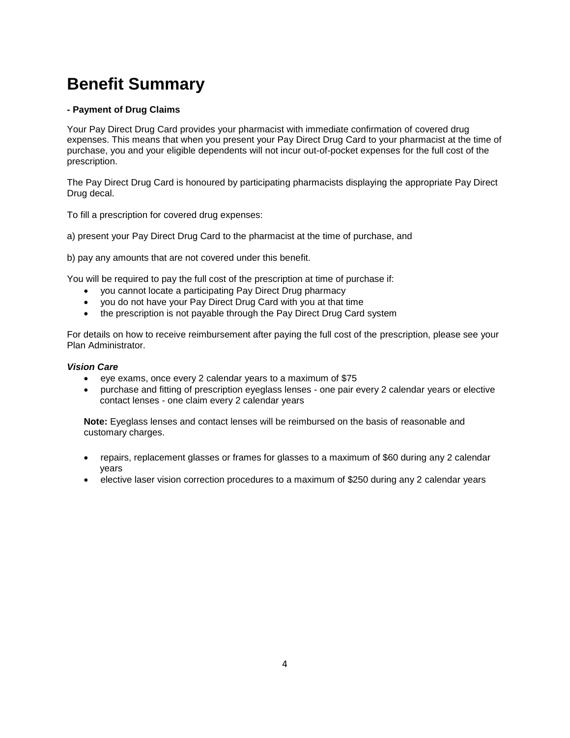#### **- Payment of Drug Claims**

Your Pay Direct Drug Card provides your pharmacist with immediate confirmation of covered drug expenses. This means that when you present your Pay Direct Drug Card to your pharmacist at the time of purchase, you and your eligible dependents will not incur out-of-pocket expenses for the full cost of the prescription.

The Pay Direct Drug Card is honoured by participating pharmacists displaying the appropriate Pay Direct Drug decal.

To fill a prescription for covered drug expenses:

a) present your Pay Direct Drug Card to the pharmacist at the time of purchase, and

b) pay any amounts that are not covered under this benefit.

You will be required to pay the full cost of the prescription at time of purchase if:

- you cannot locate a participating Pay Direct Drug pharmacy
- you do not have your Pay Direct Drug Card with you at that time
- the prescription is not payable through the Pay Direct Drug Card system

For details on how to receive reimbursement after paying the full cost of the prescription, please see your Plan Administrator.

#### *Vision Care*

- eye exams, once every 2 calendar years to a maximum of \$75
- purchase and fitting of prescription eyeglass lenses one pair every 2 calendar years or elective contact lenses - one claim every 2 calendar years

**Note:** Eyeglass lenses and contact lenses will be reimbursed on the basis of reasonable and customary charges.

- repairs, replacement glasses or frames for glasses to a maximum of \$60 during any 2 calendar years
- elective laser vision correction procedures to a maximum of \$250 during any 2 calendar years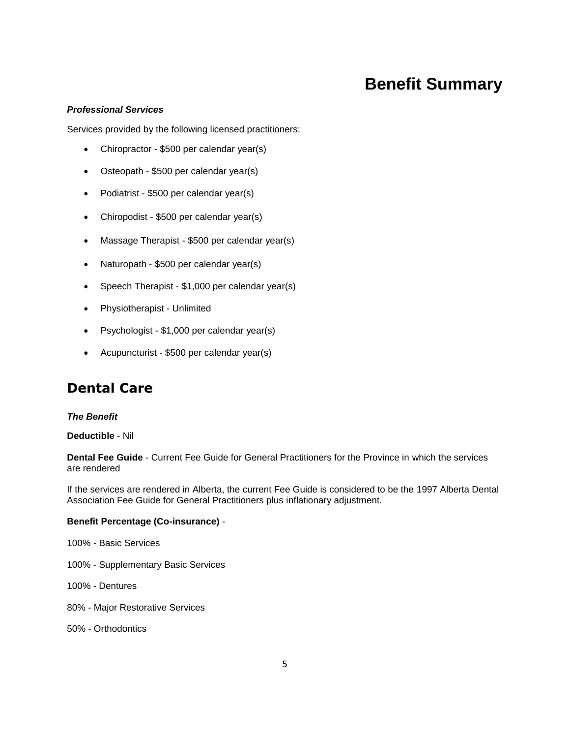#### *Professional Services*

Services provided by the following licensed practitioners:

- Chiropractor \$500 per calendar year(s)
- Osteopath \$500 per calendar year(s)
- Podiatrist \$500 per calendar year(s)
- Chiropodist \$500 per calendar year(s)
- Massage Therapist \$500 per calendar year(s)
- Naturopath \$500 per calendar year(s)
- Speech Therapist \$1,000 per calendar year(s)
- Physiotherapist Unlimited
- Psychologist \$1,000 per calendar year(s)
- Acupuncturist \$500 per calendar year(s)

### **Dental Care**

#### *The Benefit*

**Deductible** - Nil

**Dental Fee Guide** - Current Fee Guide for General Practitioners for the Province in which the services are rendered

If the services are rendered in Alberta, the current Fee Guide is considered to be the 1997 Alberta Dental Association Fee Guide for General Practitioners plus inflationary adjustment.

#### **Benefit Percentage (Co-insurance)** -

100% - Basic Services

- 100% Supplementary Basic Services
- 100% Dentures

80% - Major Restorative Services

50% - Orthodontics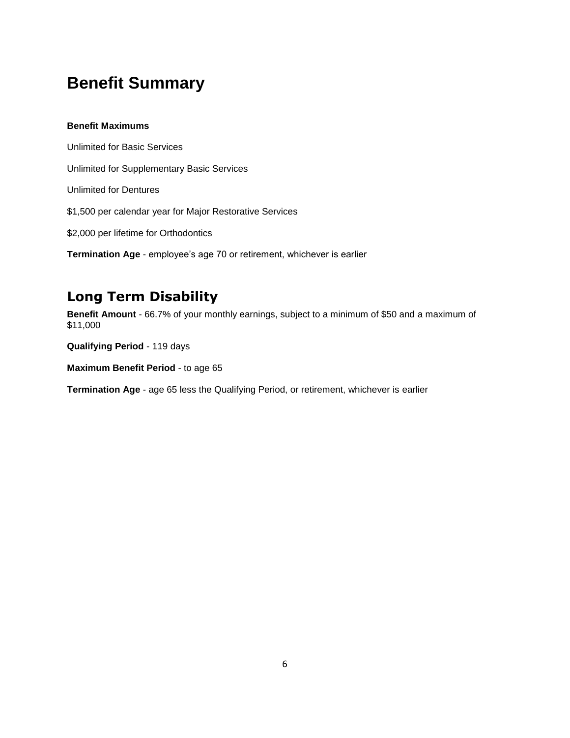#### **Benefit Maximums**

Unlimited for Basic Services Unlimited for Supplementary Basic Services Unlimited for Dentures \$1,500 per calendar year for Major Restorative Services \$2,000 per lifetime for Orthodontics **Termination Age** - employee's age 70 or retirement, whichever is earlier

## **Long Term Disability**

**Benefit Amount** - 66.7% of your monthly earnings, subject to a minimum of \$50 and a maximum of \$11,000

**Qualifying Period** - 119 days

**Maximum Benefit Period** - to age 65

**Termination Age** - age 65 less the Qualifying Period, or retirement, whichever is earlier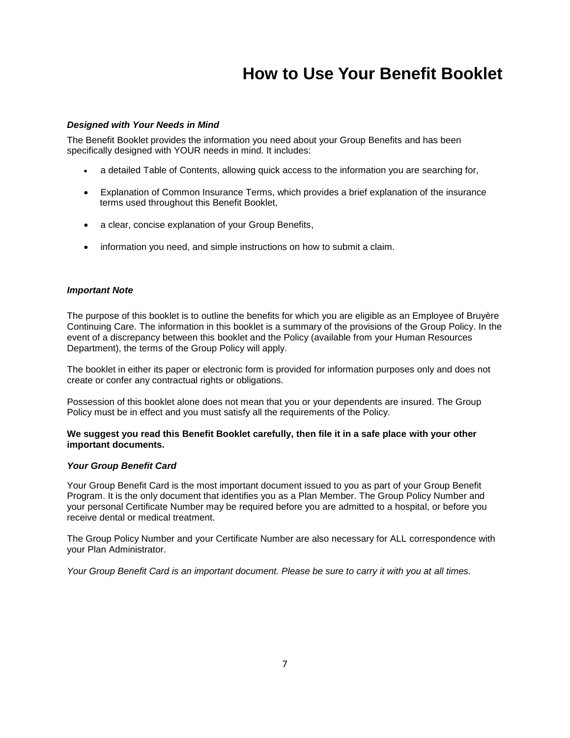# **How to Use Your Benefit Booklet**

#### <span id="page-9-0"></span>*Designed with Your Needs in Mind*

The Benefit Booklet provides the information you need about your Group Benefits and has been specifically designed with YOUR needs in mind. It includes:

- a detailed Table of Contents, allowing quick access to the information you are searching for,
- Explanation of Common Insurance Terms, which provides a brief explanation of the insurance terms used throughout this Benefit Booklet,
- a clear, concise explanation of your Group Benefits,
- information you need, and simple instructions on how to submit a claim.

#### *Important Note*

The purpose of this booklet is to outline the benefits for which you are eligible as an Employee of Bruyère Continuing Care. The information in this booklet is a summary of the provisions of the Group Policy. In the event of a discrepancy between this booklet and the Policy (available from your Human Resources Department), the terms of the Group Policy will apply.

The booklet in either its paper or electronic form is provided for information purposes only and does not create or confer any contractual rights or obligations.

Possession of this booklet alone does not mean that you or your dependents are insured. The Group Policy must be in effect and you must satisfy all the requirements of the Policy.

#### **We suggest you read this Benefit Booklet carefully, then file it in a safe place with your other important documents.**

#### *Your Group Benefit Card*

Your Group Benefit Card is the most important document issued to you as part of your Group Benefit Program. It is the only document that identifies you as a Plan Member. The Group Policy Number and your personal Certificate Number may be required before you are admitted to a hospital, or before you receive dental or medical treatment.

The Group Policy Number and your Certificate Number are also necessary for ALL correspondence with your Plan Administrator.

*Your Group Benefit Card is an important document. Please be sure to carry it with you at all times.*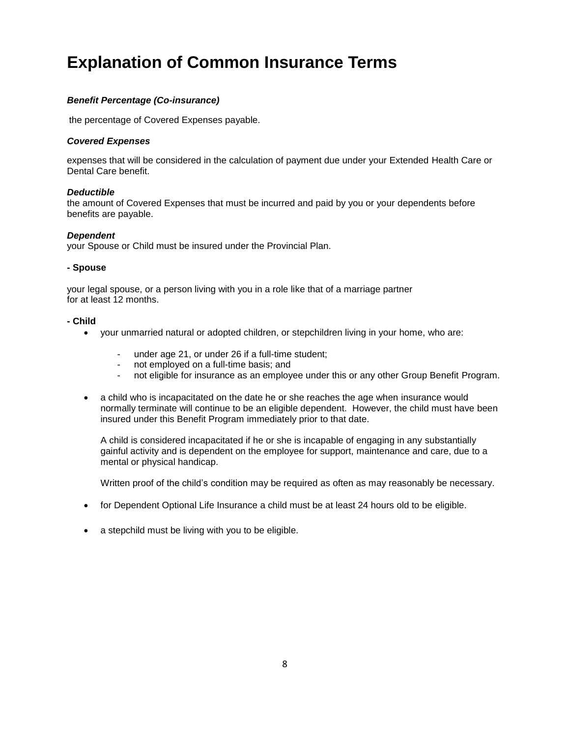# **Explanation of Common Insurance Terms**

#### *Benefit Percentage (Co-insurance)*

the percentage of Covered Expenses payable.

#### *Covered Expenses*

expenses that will be considered in the calculation of payment due under your Extended Health Care or Dental Care benefit.

#### *Deductible*

the amount of Covered Expenses that must be incurred and paid by you or your dependents before benefits are payable.

#### *Dependent*

your Spouse or Child must be insured under the Provincial Plan.

#### **- Spouse**

your legal spouse, or a person living with you in a role like that of a marriage partner for at least 12 months.

#### **- Child**

- your unmarried natural or adopted children, or stepchildren living in your home, who are:
	- under age 21, or under 26 if a full-time student;
	- not employed on a full-time basis; and
	- not eligible for insurance as an employee under this or any other Group Benefit Program.
- a child who is incapacitated on the date he or she reaches the age when insurance would normally terminate will continue to be an eligible dependent. However, the child must have been insured under this Benefit Program immediately prior to that date.

A child is considered incapacitated if he or she is incapable of engaging in any substantially gainful activity and is dependent on the employee for support, maintenance and care, due to a mental or physical handicap.

Written proof of the child's condition may be required as often as may reasonably be necessary.

- for Dependent Optional Life Insurance a child must be at least 24 hours old to be eligible.
- a stepchild must be living with you to be eligible.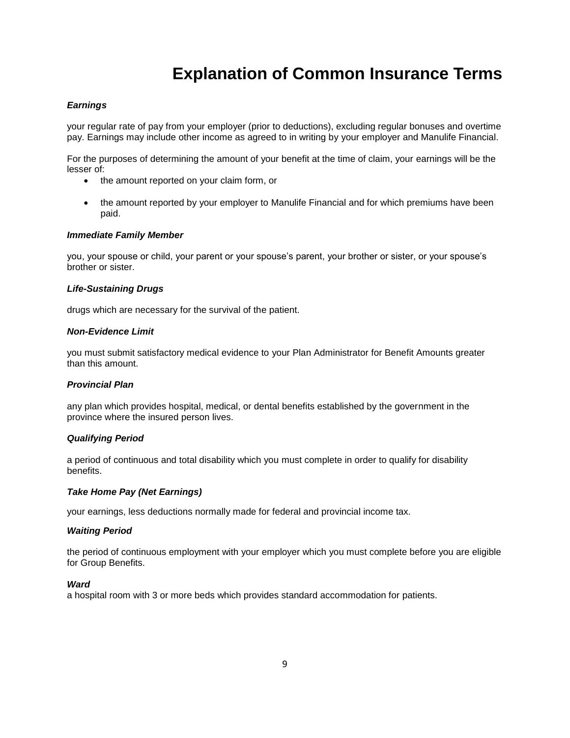# **Explanation of Common Insurance Terms**

#### <span id="page-11-0"></span>*Earnings*

your regular rate of pay from your employer (prior to deductions), excluding regular bonuses and overtime pay. Earnings may include other income as agreed to in writing by your employer and Manulife Financial.

For the purposes of determining the amount of your benefit at the time of claim, your earnings will be the lesser of:

- the amount reported on your claim form, or
- the amount reported by your employer to Manulife Financial and for which premiums have been paid.

#### *Immediate Family Member*

you, your spouse or child, your parent or your spouse's parent, your brother or sister, or your spouse's brother or sister.

#### *Life-Sustaining Drugs*

drugs which are necessary for the survival of the patient.

#### *Non-Evidence Limit*

you must submit satisfactory medical evidence to your Plan Administrator for Benefit Amounts greater than this amount.

#### *Provincial Plan*

any plan which provides hospital, medical, or dental benefits established by the government in the province where the insured person lives.

#### *Qualifying Period*

a period of continuous and total disability which you must complete in order to qualify for disability benefits.

#### *Take Home Pay (Net Earnings)*

your earnings, less deductions normally made for federal and provincial income tax.

#### *Waiting Period*

the period of continuous employment with your employer which you must complete before you are eligible for Group Benefits.

#### *Ward*

<span id="page-11-1"></span>a hospital room with 3 or more beds which provides standard accommodation for patients.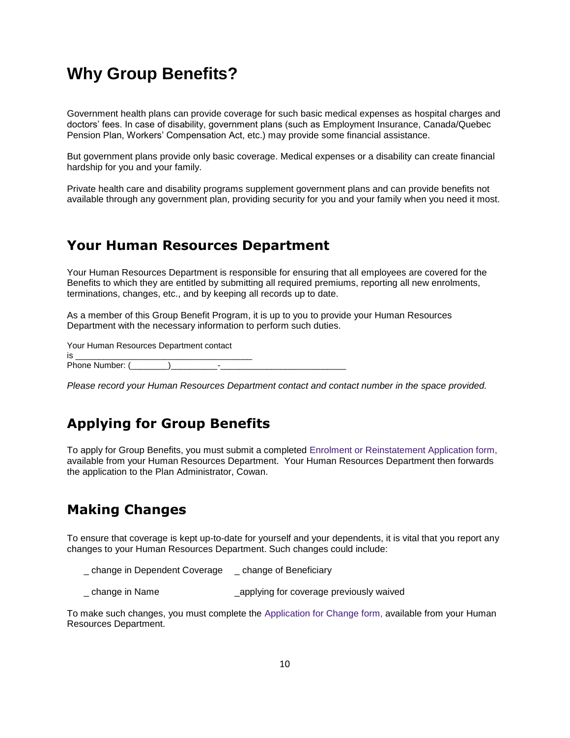## **Why Group Benefits?**

Government health plans can provide coverage for such basic medical expenses as hospital charges and doctors' fees. In case of disability, government plans (such as Employment Insurance, Canada/Quebec Pension Plan, Workers' Compensation Act, etc.) may provide some financial assistance.

But government plans provide only basic coverage. Medical expenses or a disability can create financial hardship for you and your family.

Private health care and disability programs supplement government plans and can provide benefits not available through any government plan, providing security for you and your family when you need it most.

### <span id="page-12-0"></span>**Your Human Resources Department**

Your Human Resources Department is responsible for ensuring that all employees are covered for the Benefits to which they are entitled by submitting all required premiums, reporting all new enrolments, terminations, changes, etc., and by keeping all records up to date.

As a member of this Group Benefit Program, it is up to you to provide your Human Resources Department with the necessary information to perform such duties.

Your Human Resources Department contact is \_\_\_\_\_\_\_\_\_\_\_\_\_\_\_\_\_\_\_\_\_\_\_\_\_\_\_\_\_\_\_\_\_\_\_\_\_\_ Phone Number: (\_\_\_\_\_\_\_\_)\_\_\_\_\_\_\_\_\_\_-\_\_\_\_\_\_\_\_\_\_\_\_\_\_\_\_\_\_\_\_\_\_\_\_\_\_\_

*Please record your Human Resources Department contact and contact number in the space provided.*

### <span id="page-12-1"></span>**Applying for Group Benefits**

To apply for Group Benefits, you must submit a completed Enrolment or Reinstatement Application form, available from your Human Resources Department. Your Human Resources Department then forwards the application to the Plan Administrator, Cowan.

### <span id="page-12-2"></span>**Making Changes**

To ensure that coverage is kept up-to-date for yourself and your dependents, it is vital that you report any changes to your Human Resources Department. Such changes could include:

- \_ change in Dependent Coverage \_ change of Beneficiary
- \_ change in Name \_applying for coverage previously waived

To make such changes, you must complete the Application for Change form, available from your Human Resources Department.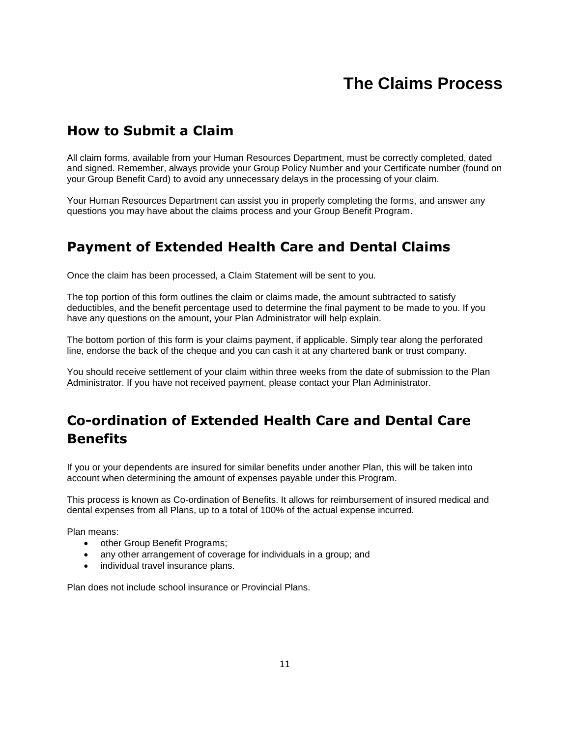## **The Claims Process**

### <span id="page-13-1"></span><span id="page-13-0"></span>**How to Submit a Claim**

All claim forms, available from your Human Resources Department, must be correctly completed, dated and signed. Remember, always provide your Group Policy Number and your Certificate number (found on your Group Benefit Card) to avoid any unnecessary delays in the processing of your claim.

Your Human Resources Department can assist you in properly completing the forms, and answer any questions you may have about the claims process and your Group Benefit Program.

### **Payment of Extended Health Care and Dental Claims**

Once the claim has been processed, a Claim Statement will be sent to you.

The top portion of this form outlines the claim or claims made, the amount subtracted to satisfy deductibles, and the benefit percentage used to determine the final payment to be made to you. If you have any questions on the amount, your Plan Administrator will help explain.

The bottom portion of this form is your claims payment, if applicable. Simply tear along the perforated line, endorse the back of the cheque and you can cash it at any chartered bank or trust company.

You should receive settlement of your claim within three weeks from the date of submission to the Plan Administrator. If you have not received payment, please contact your Plan Administrator.

## <span id="page-13-2"></span>**Co-ordination of Extended Health Care and Dental Care Benefits**

If you or your dependents are insured for similar benefits under another Plan, this will be taken into account when determining the amount of expenses payable under this Program.

This process is known as Co-ordination of Benefits. It allows for reimbursement of insured medical and dental expenses from all Plans, up to a total of 100% of the actual expense incurred.

Plan means:

- other Group Benefit Programs;
- any other arrangement of coverage for individuals in a group; and
- individual travel insurance plans.

Plan does not include school insurance or Provincial Plans.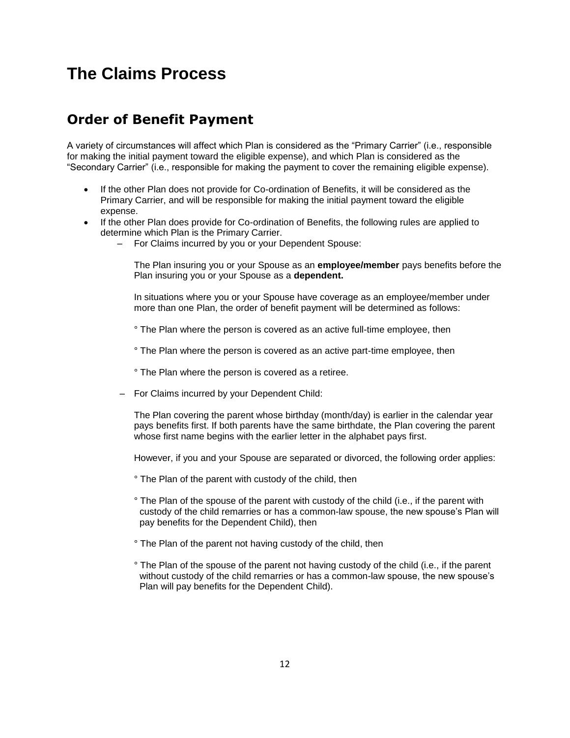# **The Claims Process**

### **Order of Benefit Payment**

A variety of circumstances will affect which Plan is considered as the "Primary Carrier" (i.e., responsible for making the initial payment toward the eligible expense), and which Plan is considered as the "Secondary Carrier" (i.e., responsible for making the payment to cover the remaining eligible expense).

- If the other Plan does not provide for Co-ordination of Benefits, it will be considered as the Primary Carrier, and will be responsible for making the initial payment toward the eligible expense.
- If the other Plan does provide for Co-ordination of Benefits, the following rules are applied to determine which Plan is the Primary Carrier.
	- For Claims incurred by you or your Dependent Spouse:

The Plan insuring you or your Spouse as an **employee/member** pays benefits before the Plan insuring you or your Spouse as a **dependent.**

In situations where you or your Spouse have coverage as an employee/member under more than one Plan, the order of benefit payment will be determined as follows:

- ° The Plan where the person is covered as an active full-time employee, then
- ° The Plan where the person is covered as an active part-time employee, then

° The Plan where the person is covered as a retiree.

– For Claims incurred by your Dependent Child:

The Plan covering the parent whose birthday (month/day) is earlier in the calendar year pays benefits first. If both parents have the same birthdate, the Plan covering the parent whose first name begins with the earlier letter in the alphabet pays first.

However, if you and your Spouse are separated or divorced, the following order applies:

- ° The Plan of the parent with custody of the child, then
- ° The Plan of the spouse of the parent with custody of the child (i.e., if the parent with custody of the child remarries or has a common-law spouse, the new spouse's Plan will pay benefits for the Dependent Child), then
- ° The Plan of the parent not having custody of the child, then
- ° The Plan of the spouse of the parent not having custody of the child (i.e., if the parent without custody of the child remarries or has a common-law spouse, the new spouse's Plan will pay benefits for the Dependent Child).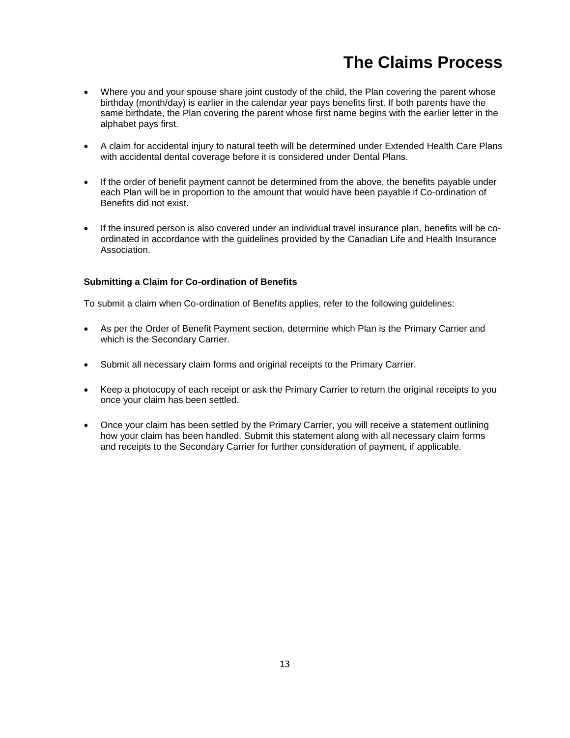# **The Claims Process**

- Where you and your spouse share joint custody of the child, the Plan covering the parent whose birthday (month/day) is earlier in the calendar year pays benefits first. If both parents have the same birthdate, the Plan covering the parent whose first name begins with the earlier letter in the alphabet pays first.
- A claim for accidental injury to natural teeth will be determined under Extended Health Care Plans with accidental dental coverage before it is considered under Dental Plans.
- If the order of benefit payment cannot be determined from the above, the benefits payable under each Plan will be in proportion to the amount that would have been payable if Co-ordination of Benefits did not exist.
- If the insured person is also covered under an individual travel insurance plan, benefits will be coordinated in accordance with the guidelines provided by the Canadian Life and Health Insurance Association.

#### **Submitting a Claim for Co-ordination of Benefits**

To submit a claim when Co-ordination of Benefits applies, refer to the following guidelines:

- As per the Order of Benefit Payment section, determine which Plan is the Primary Carrier and which is the Secondary Carrier.
- Submit all necessary claim forms and original receipts to the Primary Carrier.
- Keep a photocopy of each receipt or ask the Primary Carrier to return the original receipts to you once your claim has been settled.
- Once your claim has been settled by the Primary Carrier, you will receive a statement outlining how your claim has been handled. Submit this statement along with all necessary claim forms and receipts to the Secondary Carrier for further consideration of payment, if applicable.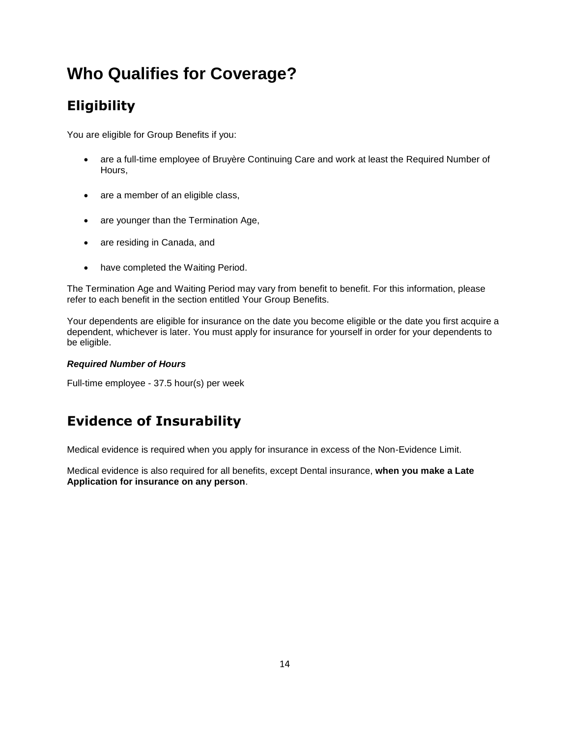# **Who Qualifies for Coverage?**

## <span id="page-16-0"></span>**Eligibility**

You are eligible for Group Benefits if you:

- are a full-time employee of Bruyère Continuing Care and work at least the Required Number of Hours,
- are a member of an eligible class,
- are younger than the Termination Age,
- are residing in Canada, and
- have completed the Waiting Period.

The Termination Age and Waiting Period may vary from benefit to benefit. For this information, please refer to each benefit in the section entitled Your Group Benefits.

Your dependents are eligible for insurance on the date you become eligible or the date you first acquire a dependent, whichever is later. You must apply for insurance for yourself in order for your dependents to be eligible.

#### *Required Number of Hours*

Full-time employee - 37.5 hour(s) per week

### <span id="page-16-1"></span>**Evidence of Insurability**

Medical evidence is required when you apply for insurance in excess of the Non-Evidence Limit.

Medical evidence is also required for all benefits, except Dental insurance, **when you make a Late Application for insurance on any person**.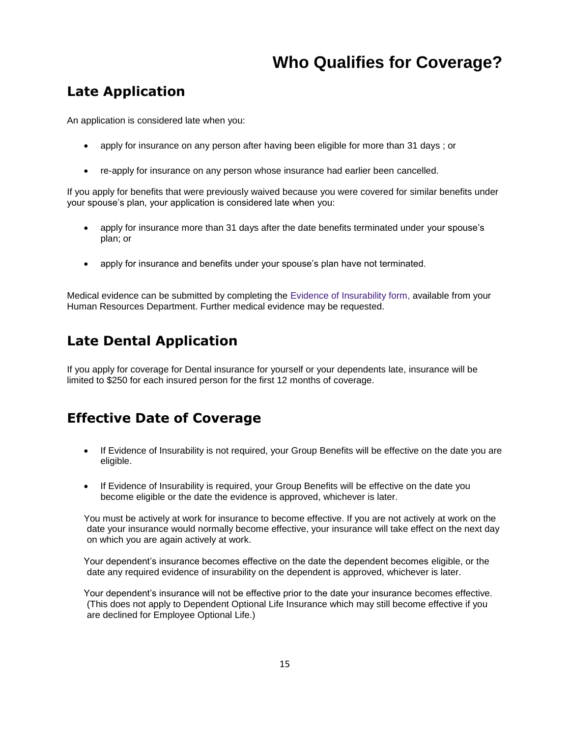## **Who Qualifies for Coverage?**

### <span id="page-17-0"></span>**Late Application**

An application is considered late when you:

- apply for insurance on any person after having been eligible for more than 31 days ; or
- re-apply for insurance on any person whose insurance had earlier been cancelled.

If you apply for benefits that were previously waived because you were covered for similar benefits under your spouse's plan, your application is considered late when you:

- apply for insurance more than 31 days after the date benefits terminated under your spouse's plan; or
- apply for insurance and benefits under your spouse's plan have not terminated.

Medical evidence can be submitted by completing the Evidence of Insurability form, available from your Human Resources Department. Further medical evidence may be requested.

### <span id="page-17-1"></span>**Late Dental Application**

If you apply for coverage for Dental insurance for yourself or your dependents late, insurance will be limited to \$250 for each insured person for the first 12 months of coverage.

### <span id="page-17-2"></span>**Effective Date of Coverage**

- If Evidence of Insurability is not required, your Group Benefits will be effective on the date you are eligible.
- If Evidence of Insurability is required, your Group Benefits will be effective on the date you become eligible or the date the evidence is approved, whichever is later.

You must be actively at work for insurance to become effective. If you are not actively at work on the date your insurance would normally become effective, your insurance will take effect on the next day on which you are again actively at work.

Your dependent's insurance becomes effective on the date the dependent becomes eligible, or the date any required evidence of insurability on the dependent is approved, whichever is later.

Your dependent's insurance will not be effective prior to the date your insurance becomes effective. (This does not apply to Dependent Optional Life Insurance which may still become effective if you are declined for Employee Optional Life.)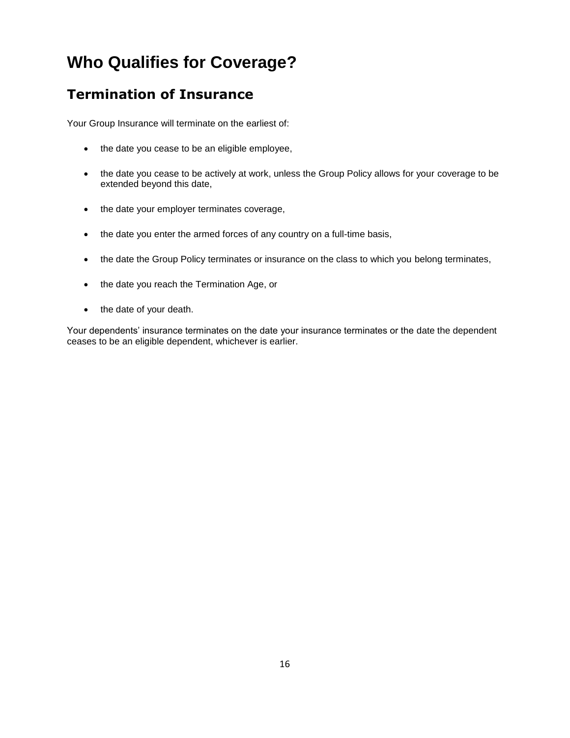# <span id="page-18-0"></span>**Who Qualifies for Coverage?**

### **Termination of Insurance**

Your Group Insurance will terminate on the earliest of:

- the date you cease to be an eligible employee,
- the date you cease to be actively at work, unless the Group Policy allows for your coverage to be extended beyond this date,
- the date your employer terminates coverage,
- the date you enter the armed forces of any country on a full-time basis,
- the date the Group Policy terminates or insurance on the class to which you belong terminates,
- the date you reach the Termination Age, or
- the date of your death.

Your dependents' insurance terminates on the date your insurance terminates or the date the dependent ceases to be an eligible dependent, whichever is earlier.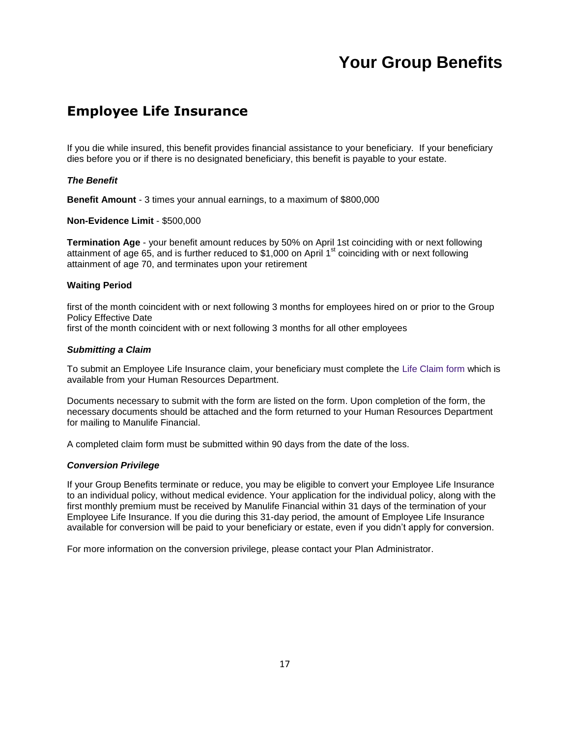### <span id="page-19-0"></span>**Employee Life Insurance**

If you die while insured, this benefit provides financial assistance to your beneficiary. If your beneficiary dies before you or if there is no designated beneficiary, this benefit is payable to your estate.

#### *The Benefit*

**Benefit Amount** - 3 times your annual earnings, to a maximum of \$800,000

**Non-Evidence Limit** - \$500,000

**Termination Age** - your benefit amount reduces by 50% on April 1st coinciding with or next following attainment of age 65, and is further reduced to \$1,000 on April  $1<sup>st</sup>$  coinciding with or next following attainment of age 70, and terminates upon your retirement

#### **Waiting Period**

first of the month coincident with or next following 3 months for employees hired on or prior to the Group Policy Effective Date

first of the month coincident with or next following 3 months for all other employees

#### *Submitting a Claim*

To submit an Employee Life Insurance claim, your beneficiary must complete the Life Claim form which is available from your Human Resources Department.

Documents necessary to submit with the form are listed on the form. Upon completion of the form, the necessary documents should be attached and the form returned to your Human Resources Department for mailing to Manulife Financial.

A completed claim form must be submitted within 90 days from the date of the loss.

#### *Conversion Privilege*

If your Group Benefits terminate or reduce, you may be eligible to convert your Employee Life Insurance to an individual policy, without medical evidence. Your application for the individual policy, along with the first monthly premium must be received by Manulife Financial within 31 days of the termination of your Employee Life Insurance. If you die during this 31-day period, the amount of Employee Life Insurance available for conversion will be paid to your beneficiary or estate, even if you didn't apply for conversion.

For more information on the conversion privilege, please contact your Plan Administrator.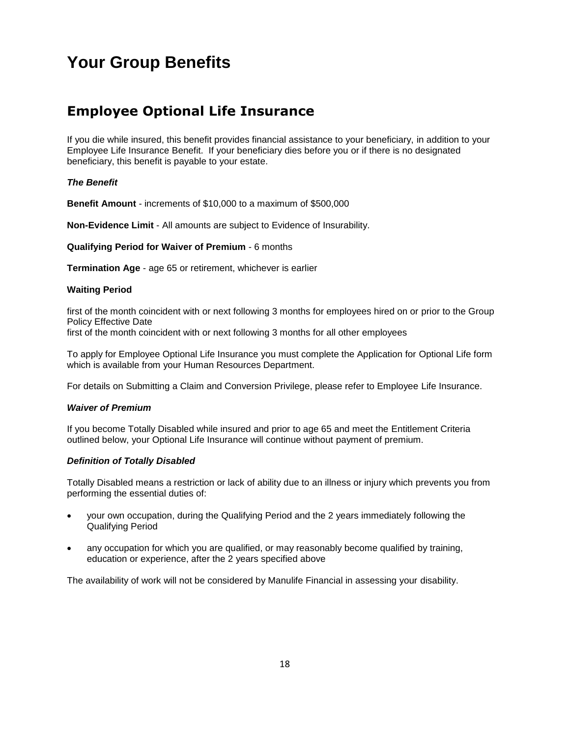### <span id="page-20-0"></span>**Employee Optional Life Insurance**

If you die while insured, this benefit provides financial assistance to your beneficiary, in addition to your Employee Life Insurance Benefit. If your beneficiary dies before you or if there is no designated beneficiary, this benefit is payable to your estate.

#### *The Benefit*

**Benefit Amount** - increments of \$10,000 to a maximum of \$500,000

**Non-Evidence Limit** - All amounts are subject to Evidence of Insurability.

**Qualifying Period for Waiver of Premium** - 6 months

**Termination Age** - age 65 or retirement, whichever is earlier

#### **Waiting Period**

first of the month coincident with or next following 3 months for employees hired on or prior to the Group Policy Effective Date

first of the month coincident with or next following 3 months for all other employees

To apply for Employee Optional Life Insurance you must complete the Application for Optional Life form which is available from your Human Resources Department.

For details on Submitting a Claim and Conversion Privilege, please refer to Employee Life Insurance.

#### *Waiver of Premium*

If you become Totally Disabled while insured and prior to age 65 and meet the Entitlement Criteria outlined below, your Optional Life Insurance will continue without payment of premium.

#### *Definition of Totally Disabled*

Totally Disabled means a restriction or lack of ability due to an illness or injury which prevents you from performing the essential duties of:

- your own occupation, during the Qualifying Period and the 2 years immediately following the Qualifying Period
- any occupation for which you are qualified, or may reasonably become qualified by training, education or experience, after the 2 years specified above

The availability of work will not be considered by Manulife Financial in assessing your disability.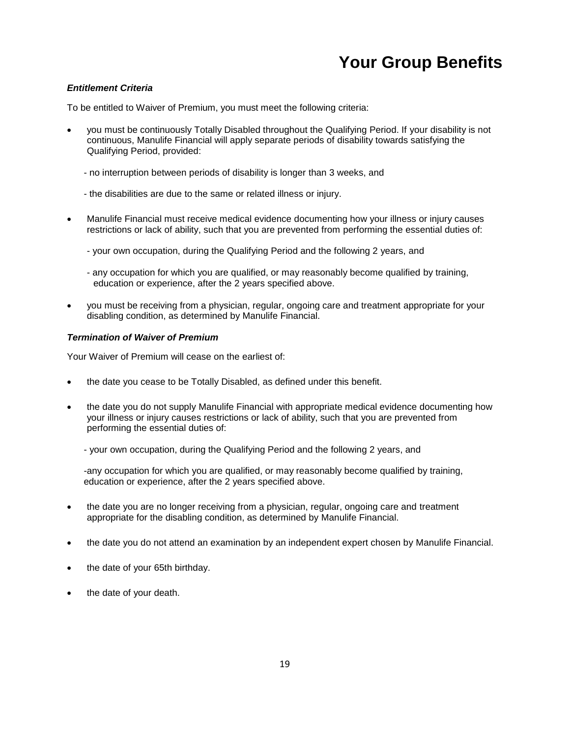#### *Entitlement Criteria*

To be entitled to Waiver of Premium, you must meet the following criteria:

- you must be continuously Totally Disabled throughout the Qualifying Period. If your disability is not continuous, Manulife Financial will apply separate periods of disability towards satisfying the Qualifying Period, provided:
	- no interruption between periods of disability is longer than 3 weeks, and
	- the disabilities are due to the same or related illness or injury.
- Manulife Financial must receive medical evidence documenting how your illness or injury causes restrictions or lack of ability, such that you are prevented from performing the essential duties of:
	- your own occupation, during the Qualifying Period and the following 2 years, and
	- any occupation for which you are qualified, or may reasonably become qualified by training, education or experience, after the 2 years specified above.
- you must be receiving from a physician, regular, ongoing care and treatment appropriate for your disabling condition, as determined by Manulife Financial.

#### *Termination of Waiver of Premium*

Your Waiver of Premium will cease on the earliest of:

- the date you cease to be Totally Disabled, as defined under this benefit.
- the date you do not supply Manulife Financial with appropriate medical evidence documenting how your illness or injury causes restrictions or lack of ability, such that you are prevented from performing the essential duties of:
	- your own occupation, during the Qualifying Period and the following 2 years, and

-any occupation for which you are qualified, or may reasonably become qualified by training, education or experience, after the 2 years specified above.

- the date you are no longer receiving from a physician, regular, ongoing care and treatment appropriate for the disabling condition, as determined by Manulife Financial.
- the date you do not attend an examination by an independent expert chosen by Manulife Financial.
- the date of your 65th birthday.
- the date of your death.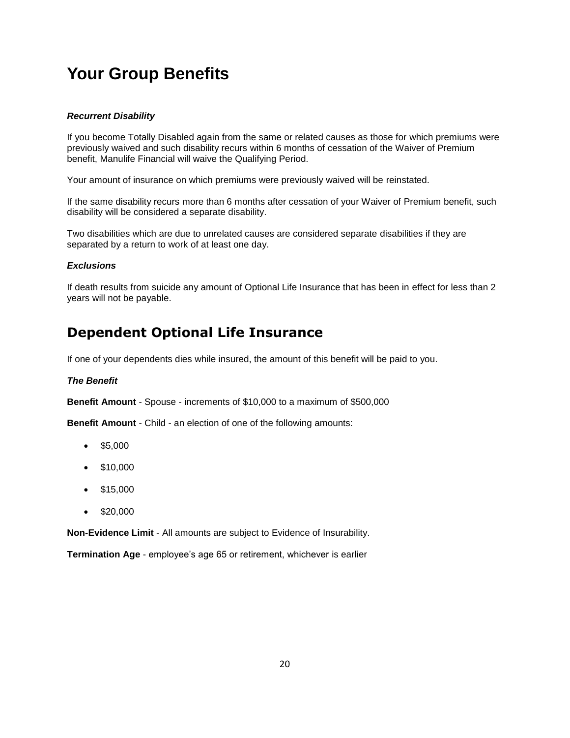#### *Recurrent Disability*

If you become Totally Disabled again from the same or related causes as those for which premiums were previously waived and such disability recurs within 6 months of cessation of the Waiver of Premium benefit, Manulife Financial will waive the Qualifying Period.

Your amount of insurance on which premiums were previously waived will be reinstated.

If the same disability recurs more than 6 months after cessation of your Waiver of Premium benefit, such disability will be considered a separate disability.

Two disabilities which are due to unrelated causes are considered separate disabilities if they are separated by a return to work of at least one day.

#### *Exclusions*

If death results from suicide any amount of Optional Life Insurance that has been in effect for less than 2 years will not be payable.

### <span id="page-22-0"></span>**Dependent Optional Life Insurance**

If one of your dependents dies while insured, the amount of this benefit will be paid to you.

#### *The Benefit*

**Benefit Amount** - Spouse - increments of \$10,000 to a maximum of \$500,000

**Benefit Amount** - Child - an election of one of the following amounts:

- \$5,000
- \$10,000
- $\bullet$  \$15,000
- $\bullet$  \$20,000

**Non-Evidence Limit** - All amounts are subject to Evidence of Insurability.

**Termination Age** - employee's age 65 or retirement, whichever is earlier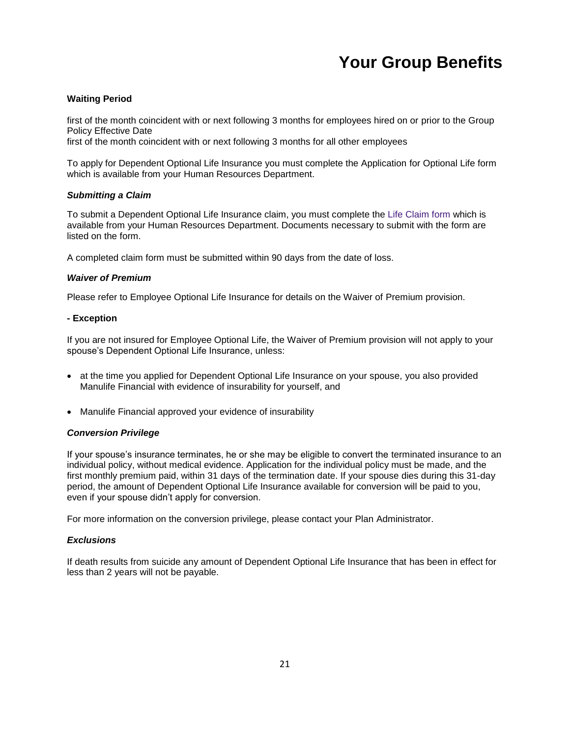#### **Waiting Period**

first of the month coincident with or next following 3 months for employees hired on or prior to the Group Policy Effective Date

first of the month coincident with or next following 3 months for all other employees

To apply for Dependent Optional Life Insurance you must complete the Application for Optional Life form which is available from your Human Resources Department.

#### *Submitting a Claim*

To submit a Dependent Optional Life Insurance claim, you must complete the Life Claim form which is available from your Human Resources Department. Documents necessary to submit with the form are listed on the form.

A completed claim form must be submitted within 90 days from the date of loss.

#### *Waiver of Premium*

Please refer to Employee Optional Life Insurance for details on the Waiver of Premium provision.

#### **- Exception**

If you are not insured for Employee Optional Life, the Waiver of Premium provision will not apply to your spouse's Dependent Optional Life Insurance, unless:

- at the time you applied for Dependent Optional Life Insurance on your spouse, you also provided Manulife Financial with evidence of insurability for yourself, and
- Manulife Financial approved your evidence of insurability

#### *Conversion Privilege*

If your spouse's insurance terminates, he or she may be eligible to convert the terminated insurance to an individual policy, without medical evidence. Application for the individual policy must be made, and the first monthly premium paid, within 31 days of the termination date. If your spouse dies during this 31-day period, the amount of Dependent Optional Life Insurance available for conversion will be paid to you, even if your spouse didn't apply for conversion.

For more information on the conversion privilege, please contact your Plan Administrator.

#### *Exclusions*

If death results from suicide any amount of Dependent Optional Life Insurance that has been in effect for less than 2 years will not be payable.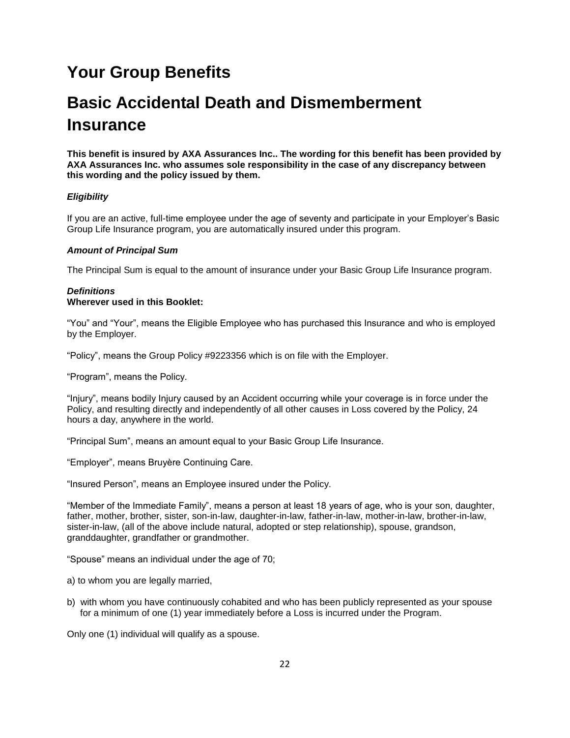# <span id="page-24-0"></span>**Basic Accidental Death and Dismemberment Insurance**

**This benefit is insured by AXA Assurances Inc.. The wording for this benefit has been provided by AXA Assurances Inc. who assumes sole responsibility in the case of any discrepancy between this wording and the policy issued by them.**

#### *Eligibility*

If you are an active, full-time employee under the age of seventy and participate in your Employer's Basic Group Life Insurance program, you are automatically insured under this program.

#### *Amount of Principal Sum*

The Principal Sum is equal to the amount of insurance under your Basic Group Life Insurance program.

#### *Definitions* **Wherever used in this Booklet:**

"You" and "Your", means the Eligible Employee who has purchased this Insurance and who is employed by the Employer.

"Policy", means the Group Policy #9223356 which is on file with the Employer.

"Program", means the Policy.

"Injury", means bodily Injury caused by an Accident occurring while your coverage is in force under the Policy, and resulting directly and independently of all other causes in Loss covered by the Policy, 24 hours a day, anywhere in the world.

"Principal Sum", means an amount equal to your Basic Group Life Insurance.

"Employer", means Bruyère Continuing Care.

"Insured Person", means an Employee insured under the Policy.

"Member of the Immediate Family", means a person at least 18 years of age, who is your son, daughter, father, mother, brother, sister, son-in-law, daughter-in-law, father-in-law, mother-in-law, brother-in-law, sister-in-law, (all of the above include natural, adopted or step relationship), spouse, grandson, granddaughter, grandfather or grandmother.

"Spouse" means an individual under the age of 70;

a) to whom you are legally married,

b) with whom you have continuously cohabited and who has been publicly represented as your spouse for a minimum of one (1) year immediately before a Loss is incurred under the Program.

Only one (1) individual will qualify as a spouse.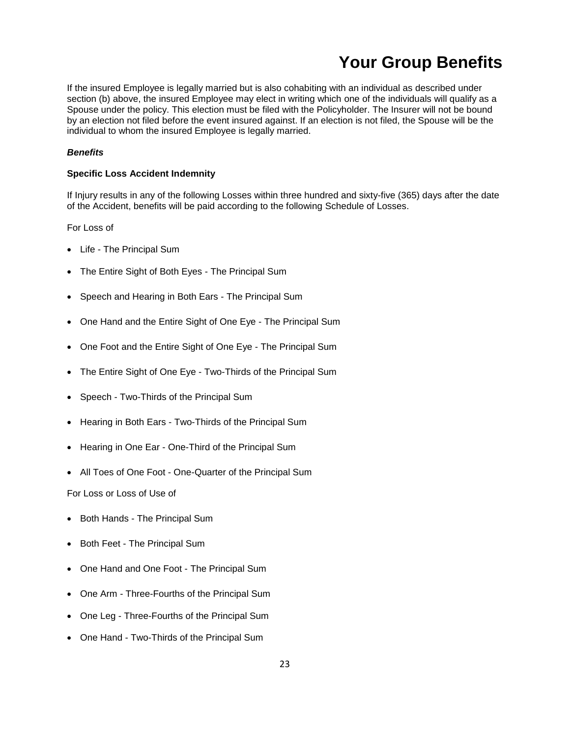If the insured Employee is legally married but is also cohabiting with an individual as described under section (b) above, the insured Employee may elect in writing which one of the individuals will qualify as a Spouse under the policy. This election must be filed with the Policyholder. The Insurer will not be bound by an election not filed before the event insured against. If an election is not filed, the Spouse will be the individual to whom the insured Employee is legally married.

#### *Benefits*

#### **Specific Loss Accident Indemnity**

If Injury results in any of the following Losses within three hundred and sixty-five (365) days after the date of the Accident, benefits will be paid according to the following Schedule of Losses.

For Loss of

- Life The Principal Sum
- The Entire Sight of Both Eyes The Principal Sum
- Speech and Hearing in Both Ears The Principal Sum
- One Hand and the Entire Sight of One Eye The Principal Sum
- One Foot and the Entire Sight of One Eye The Principal Sum
- The Entire Sight of One Eye Two-Thirds of the Principal Sum
- Speech Two-Thirds of the Principal Sum
- Hearing in Both Ears Two-Thirds of the Principal Sum
- Hearing in One Ear One-Third of the Principal Sum
- All Toes of One Foot One-Quarter of the Principal Sum

For Loss or Loss of Use of

- Both Hands The Principal Sum
- Both Feet The Principal Sum
- One Hand and One Foot The Principal Sum
- One Arm Three-Fourths of the Principal Sum
- One Leg Three-Fourths of the Principal Sum
- One Hand Two-Thirds of the Principal Sum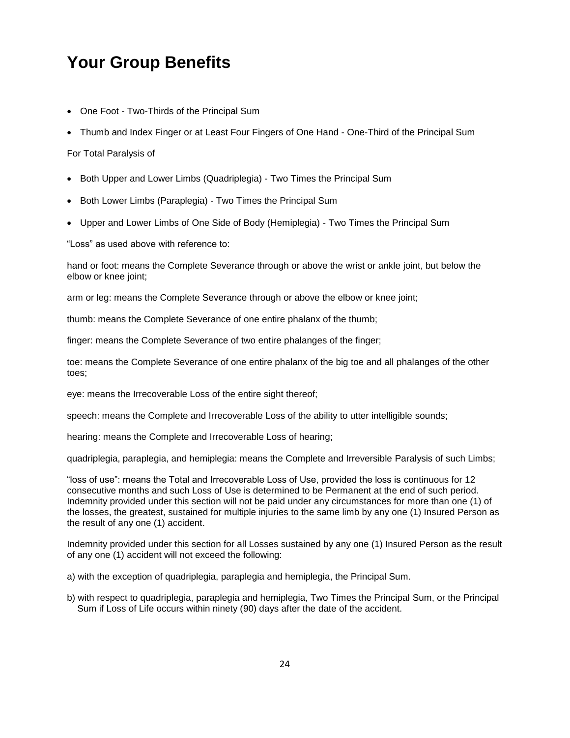- One Foot Two-Thirds of the Principal Sum
- Thumb and Index Finger or at Least Four Fingers of One Hand One-Third of the Principal Sum

#### For Total Paralysis of

- Both Upper and Lower Limbs (Quadriplegia) Two Times the Principal Sum
- Both Lower Limbs (Paraplegia) Two Times the Principal Sum
- Upper and Lower Limbs of One Side of Body (Hemiplegia) Two Times the Principal Sum

"Loss" as used above with reference to:

hand or foot: means the Complete Severance through or above the wrist or ankle joint, but below the elbow or knee joint;

arm or leg: means the Complete Severance through or above the elbow or knee joint;

thumb: means the Complete Severance of one entire phalanx of the thumb;

finger: means the Complete Severance of two entire phalanges of the finger;

toe: means the Complete Severance of one entire phalanx of the big toe and all phalanges of the other toes;

eye: means the Irrecoverable Loss of the entire sight thereof;

speech: means the Complete and Irrecoverable Loss of the ability to utter intelligible sounds;

hearing: means the Complete and Irrecoverable Loss of hearing;

quadriplegia, paraplegia, and hemiplegia: means the Complete and Irreversible Paralysis of such Limbs;

"loss of use": means the Total and Irrecoverable Loss of Use, provided the loss is continuous for 12 consecutive months and such Loss of Use is determined to be Permanent at the end of such period. Indemnity provided under this section will not be paid under any circumstances for more than one (1) of the losses, the greatest, sustained for multiple injuries to the same limb by any one (1) Insured Person as the result of any one (1) accident.

Indemnity provided under this section for all Losses sustained by any one (1) Insured Person as the result of any one (1) accident will not exceed the following:

a) with the exception of quadriplegia, paraplegia and hemiplegia, the Principal Sum.

b) with respect to quadriplegia, paraplegia and hemiplegia, Two Times the Principal Sum, or the Principal Sum if Loss of Life occurs within ninety (90) days after the date of the accident.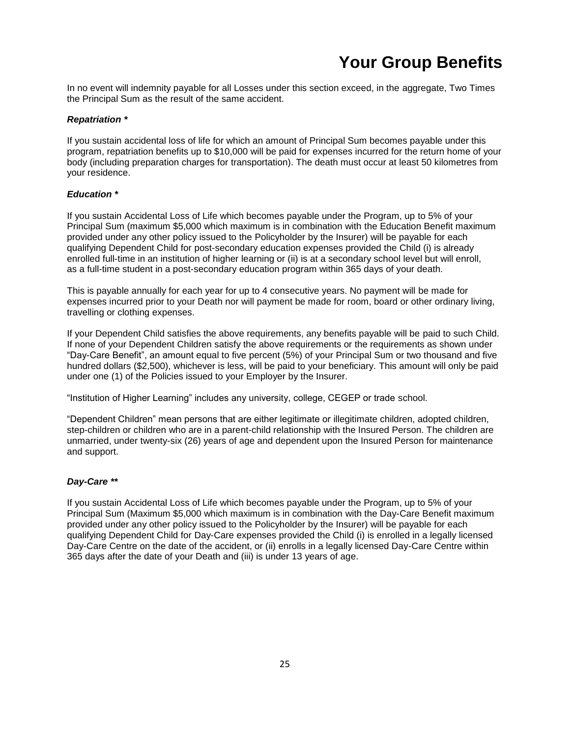In no event will indemnity payable for all Losses under this section exceed, in the aggregate, Two Times the Principal Sum as the result of the same accident.

#### *Repatriation \**

If you sustain accidental loss of life for which an amount of Principal Sum becomes payable under this program, repatriation benefits up to \$10,000 will be paid for expenses incurred for the return home of your body (including preparation charges for transportation). The death must occur at least 50 kilometres from your residence.

#### *Education \**

If you sustain Accidental Loss of Life which becomes payable under the Program, up to 5% of your Principal Sum (maximum \$5,000 which maximum is in combination with the Education Benefit maximum provided under any other policy issued to the Policyholder by the Insurer) will be payable for each qualifying Dependent Child for post-secondary education expenses provided the Child (i) is already enrolled full-time in an institution of higher learning or (ii) is at a secondary school level but will enroll, as a full-time student in a post-secondary education program within 365 days of your death.

This is payable annually for each year for up to 4 consecutive years. No payment will be made for expenses incurred prior to your Death nor will payment be made for room, board or other ordinary living, travelling or clothing expenses.

If your Dependent Child satisfies the above requirements, any benefits payable will be paid to such Child. If none of your Dependent Children satisfy the above requirements or the requirements as shown under "Day-Care Benefit", an amount equal to five percent (5%) of your Principal Sum or two thousand and five hundred dollars (\$2,500), whichever is less, will be paid to your beneficiary. This amount will only be paid under one (1) of the Policies issued to your Employer by the Insurer.

"Institution of Higher Learning" includes any university, college, CEGEP or trade school.

"Dependent Children" mean persons that are either legitimate or illegitimate children, adopted children, step-children or children who are in a parent-child relationship with the Insured Person. The children are unmarried, under twenty-six (26) years of age and dependent upon the Insured Person for maintenance and support.

#### *Day-Care \*\**

If you sustain Accidental Loss of Life which becomes payable under the Program, up to 5% of your Principal Sum (Maximum \$5,000 which maximum is in combination with the Day-Care Benefit maximum provided under any other policy issued to the Policyholder by the Insurer) will be payable for each qualifying Dependent Child for Day-Care expenses provided the Child (i) is enrolled in a legally licensed Day-Care Centre on the date of the accident, or (ii) enrolls in a legally licensed Day-Care Centre within 365 days after the date of your Death and (iii) is under 13 years of age.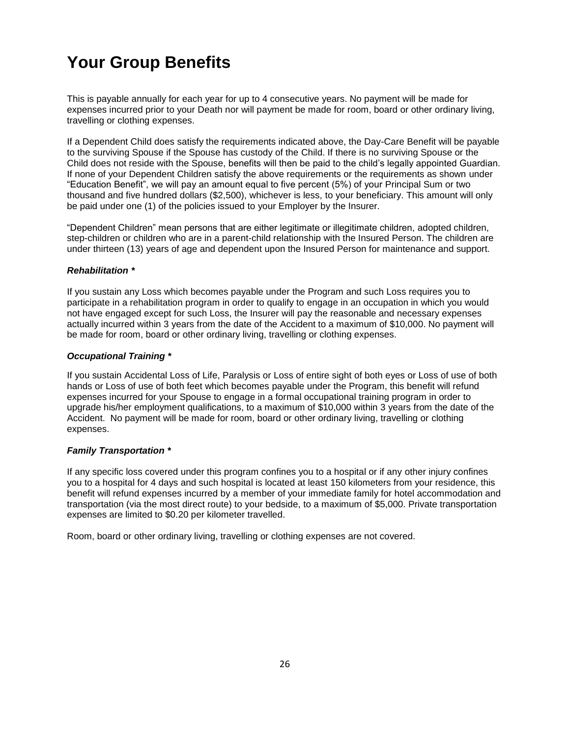This is payable annually for each year for up to 4 consecutive years. No payment will be made for expenses incurred prior to your Death nor will payment be made for room, board or other ordinary living, travelling or clothing expenses.

If a Dependent Child does satisfy the requirements indicated above, the Day-Care Benefit will be payable to the surviving Spouse if the Spouse has custody of the Child. If there is no surviving Spouse or the Child does not reside with the Spouse, benefits will then be paid to the child's legally appointed Guardian. If none of your Dependent Children satisfy the above requirements or the requirements as shown under "Education Benefit", we will pay an amount equal to five percent (5%) of your Principal Sum or two thousand and five hundred dollars (\$2,500), whichever is less, to your beneficiary. This amount will only be paid under one (1) of the policies issued to your Employer by the Insurer.

"Dependent Children" mean persons that are either legitimate or illegitimate children, adopted children, step-children or children who are in a parent-child relationship with the Insured Person. The children are under thirteen (13) years of age and dependent upon the Insured Person for maintenance and support.

#### *Rehabilitation \**

If you sustain any Loss which becomes payable under the Program and such Loss requires you to participate in a rehabilitation program in order to qualify to engage in an occupation in which you would not have engaged except for such Loss, the Insurer will pay the reasonable and necessary expenses actually incurred within 3 years from the date of the Accident to a maximum of \$10,000. No payment will be made for room, board or other ordinary living, travelling or clothing expenses.

#### *Occupational Training \**

If you sustain Accidental Loss of Life, Paralysis or Loss of entire sight of both eyes or Loss of use of both hands or Loss of use of both feet which becomes payable under the Program, this benefit will refund expenses incurred for your Spouse to engage in a formal occupational training program in order to upgrade his/her employment qualifications, to a maximum of \$10,000 within 3 years from the date of the Accident. No payment will be made for room, board or other ordinary living, travelling or clothing expenses.

#### *Family Transportation \**

If any specific loss covered under this program confines you to a hospital or if any other injury confines you to a hospital for 4 days and such hospital is located at least 150 kilometers from your residence, this benefit will refund expenses incurred by a member of your immediate family for hotel accommodation and transportation (via the most direct route) to your bedside, to a maximum of \$5,000. Private transportation expenses are limited to \$0.20 per kilometer travelled.

Room, board or other ordinary living, travelling or clothing expenses are not covered.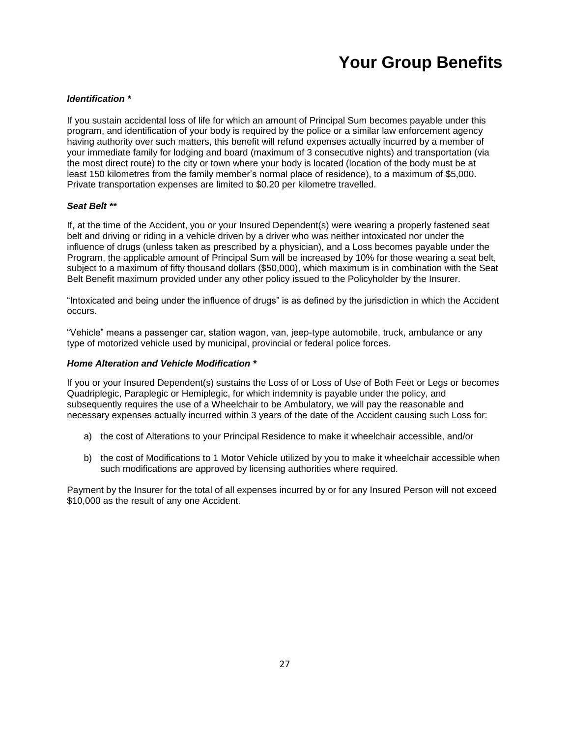#### *Identification \**

If you sustain accidental loss of life for which an amount of Principal Sum becomes payable under this program, and identification of your body is required by the police or a similar law enforcement agency having authority over such matters, this benefit will refund expenses actually incurred by a member of your immediate family for lodging and board (maximum of 3 consecutive nights) and transportation (via the most direct route) to the city or town where your body is located (location of the body must be at least 150 kilometres from the family member's normal place of residence), to a maximum of \$5,000. Private transportation expenses are limited to \$0.20 per kilometre travelled.

#### *Seat Belt \*\**

If, at the time of the Accident, you or your Insured Dependent(s) were wearing a properly fastened seat belt and driving or riding in a vehicle driven by a driver who was neither intoxicated nor under the influence of drugs (unless taken as prescribed by a physician), and a Loss becomes payable under the Program, the applicable amount of Principal Sum will be increased by 10% for those wearing a seat belt, subject to a maximum of fifty thousand dollars (\$50,000), which maximum is in combination with the Seat Belt Benefit maximum provided under any other policy issued to the Policyholder by the Insurer.

"Intoxicated and being under the influence of drugs" is as defined by the jurisdiction in which the Accident occurs.

"Vehicle" means a passenger car, station wagon, van, jeep-type automobile, truck, ambulance or any type of motorized vehicle used by municipal, provincial or federal police forces.

#### *Home Alteration and Vehicle Modification \**

If you or your Insured Dependent(s) sustains the Loss of or Loss of Use of Both Feet or Legs or becomes Quadriplegic, Paraplegic or Hemiplegic, for which indemnity is payable under the policy, and subsequently requires the use of a Wheelchair to be Ambulatory, we will pay the reasonable and necessary expenses actually incurred within 3 years of the date of the Accident causing such Loss for:

- a) the cost of Alterations to your Principal Residence to make it wheelchair accessible, and/or
- b) the cost of Modifications to 1 Motor Vehicle utilized by you to make it wheelchair accessible when such modifications are approved by licensing authorities where required.

Payment by the Insurer for the total of all expenses incurred by or for any Insured Person will not exceed \$10,000 as the result of any one Accident.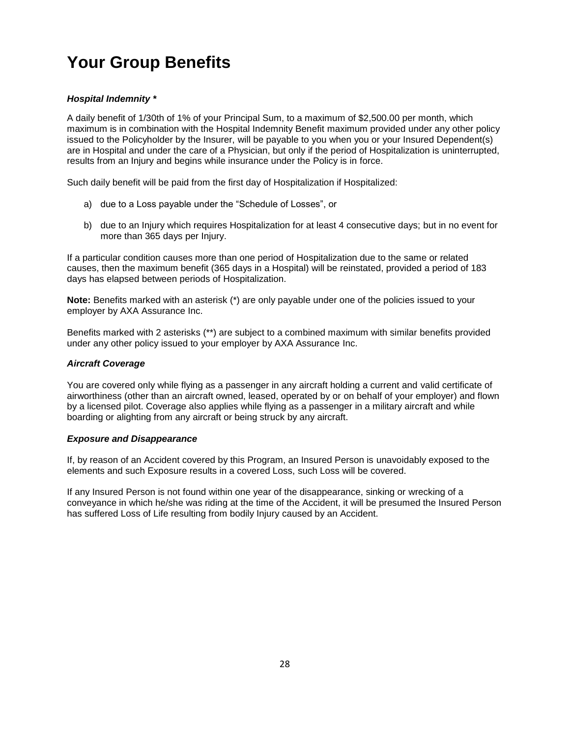#### *Hospital Indemnity \**

A daily benefit of 1/30th of 1% of your Principal Sum, to a maximum of \$2,500.00 per month, which maximum is in combination with the Hospital Indemnity Benefit maximum provided under any other policy issued to the Policyholder by the Insurer, will be payable to you when you or your Insured Dependent(s) are in Hospital and under the care of a Physician, but only if the period of Hospitalization is uninterrupted, results from an Injury and begins while insurance under the Policy is in force.

Such daily benefit will be paid from the first day of Hospitalization if Hospitalized:

- a) due to a Loss payable under the "Schedule of Losses", or
- b) due to an Injury which requires Hospitalization for at least 4 consecutive days; but in no event for more than 365 days per Injury.

If a particular condition causes more than one period of Hospitalization due to the same or related causes, then the maximum benefit (365 days in a Hospital) will be reinstated, provided a period of 183 days has elapsed between periods of Hospitalization.

**Note:** Benefits marked with an asterisk (\*) are only payable under one of the policies issued to your employer by AXA Assurance Inc.

Benefits marked with 2 asterisks (\*\*) are subject to a combined maximum with similar benefits provided under any other policy issued to your employer by AXA Assurance Inc.

#### *Aircraft Coverage*

You are covered only while flying as a passenger in any aircraft holding a current and valid certificate of airworthiness (other than an aircraft owned, leased, operated by or on behalf of your employer) and flown by a licensed pilot. Coverage also applies while flying as a passenger in a military aircraft and while boarding or alighting from any aircraft or being struck by any aircraft.

#### *Exposure and Disappearance*

If, by reason of an Accident covered by this Program, an Insured Person is unavoidably exposed to the elements and such Exposure results in a covered Loss, such Loss will be covered.

If any Insured Person is not found within one year of the disappearance, sinking or wrecking of a conveyance in which he/she was riding at the time of the Accident, it will be presumed the Insured Person has suffered Loss of Life resulting from bodily Injury caused by an Accident.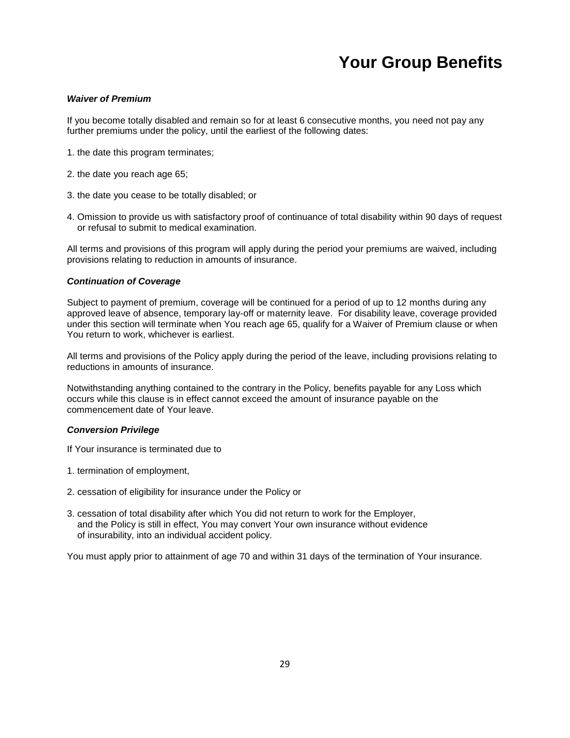#### *Waiver of Premium*

If you become totally disabled and remain so for at least 6 consecutive months, you need not pay any further premiums under the policy, until the earliest of the following dates:

- 1. the date this program terminates;
- 2. the date you reach age 65;
- 3. the date you cease to be totally disabled; or
- 4. Omission to provide us with satisfactory proof of continuance of total disability within 90 days of request or refusal to submit to medical examination.

All terms and provisions of this program will apply during the period your premiums are waived, including provisions relating to reduction in amounts of insurance.

#### *Continuation of Coverage*

Subject to payment of premium, coverage will be continued for a period of up to 12 months during any approved leave of absence, temporary lay-off or maternity leave. For disability leave, coverage provided under this section will terminate when You reach age 65, qualify for a Waiver of Premium clause or when You return to work, whichever is earliest.

All terms and provisions of the Policy apply during the period of the leave, including provisions relating to reductions in amounts of insurance.

Notwithstanding anything contained to the contrary in the Policy, benefits payable for any Loss which occurs while this clause is in effect cannot exceed the amount of insurance payable on the commencement date of Your leave.

#### *Conversion Privilege*

If Your insurance is terminated due to

- 1. termination of employment,
- 2. cessation of eligibility for insurance under the Policy or
- 3. cessation of total disability after which You did not return to work for the Employer, and the Policy is still in effect, You may convert Your own insurance without evidence of insurability, into an individual accident policy.

You must apply prior to attainment of age 70 and within 31 days of the termination of Your insurance.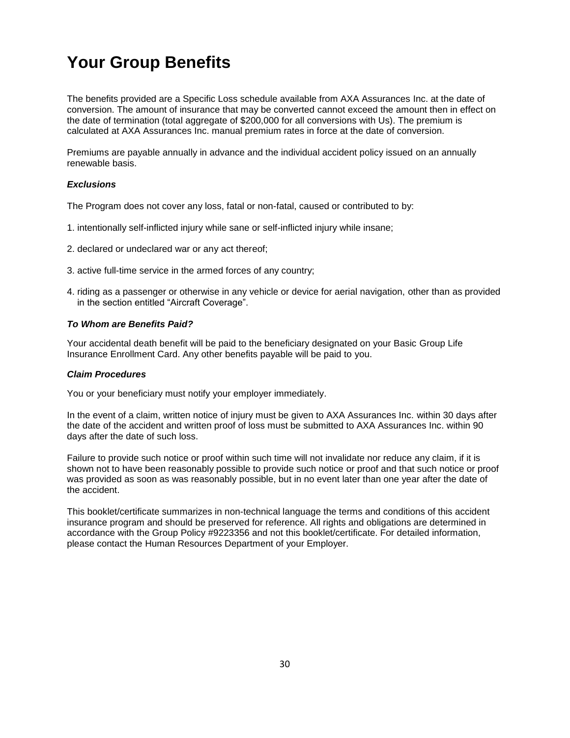The benefits provided are a Specific Loss schedule available from AXA Assurances Inc. at the date of conversion. The amount of insurance that may be converted cannot exceed the amount then in effect on the date of termination (total aggregate of \$200,000 for all conversions with Us). The premium is calculated at AXA Assurances Inc. manual premium rates in force at the date of conversion.

Premiums are payable annually in advance and the individual accident policy issued on an annually renewable basis.

#### *Exclusions*

The Program does not cover any loss, fatal or non-fatal, caused or contributed to by:

- 1. intentionally self-inflicted injury while sane or self-inflicted injury while insane;
- 2. declared or undeclared war or any act thereof;
- 3. active full-time service in the armed forces of any country;
- 4. riding as a passenger or otherwise in any vehicle or device for aerial navigation, other than as provided in the section entitled "Aircraft Coverage".

#### *To Whom are Benefits Paid?*

Your accidental death benefit will be paid to the beneficiary designated on your Basic Group Life Insurance Enrollment Card. Any other benefits payable will be paid to you.

#### *Claim Procedures*

You or your beneficiary must notify your employer immediately.

In the event of a claim, written notice of injury must be given to AXA Assurances Inc. within 30 days after the date of the accident and written proof of loss must be submitted to AXA Assurances Inc. within 90 days after the date of such loss.

Failure to provide such notice or proof within such time will not invalidate nor reduce any claim, if it is shown not to have been reasonably possible to provide such notice or proof and that such notice or proof was provided as soon as was reasonably possible, but in no event later than one year after the date of the accident.

This booklet/certificate summarizes in non-technical language the terms and conditions of this accident insurance program and should be preserved for reference. All rights and obligations are determined in accordance with the Group Policy #9223356 and not this booklet/certificate. For detailed information, please contact the Human Resources Department of your Employer.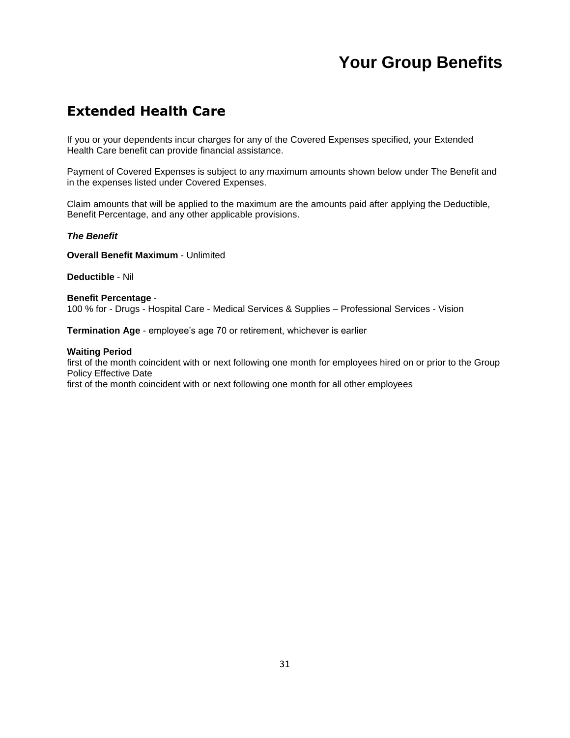### <span id="page-33-0"></span>**Extended Health Care**

If you or your dependents incur charges for any of the Covered Expenses specified, your Extended Health Care benefit can provide financial assistance.

Payment of Covered Expenses is subject to any maximum amounts shown below under The Benefit and in the expenses listed under Covered Expenses.

Claim amounts that will be applied to the maximum are the amounts paid after applying the Deductible, Benefit Percentage, and any other applicable provisions.

#### *The Benefit*

**Overall Benefit Maximum** - Unlimited

**Deductible** - Nil

#### **Benefit Percentage** - 100 % for - Drugs - Hospital Care - Medical Services & Supplies – Professional Services - Vision

**Termination Age** - employee's age 70 or retirement, whichever is earlier

#### **Waiting Period**

first of the month coincident with or next following one month for employees hired on or prior to the Group Policy Effective Date first of the month coincident with or next following one month for all other employees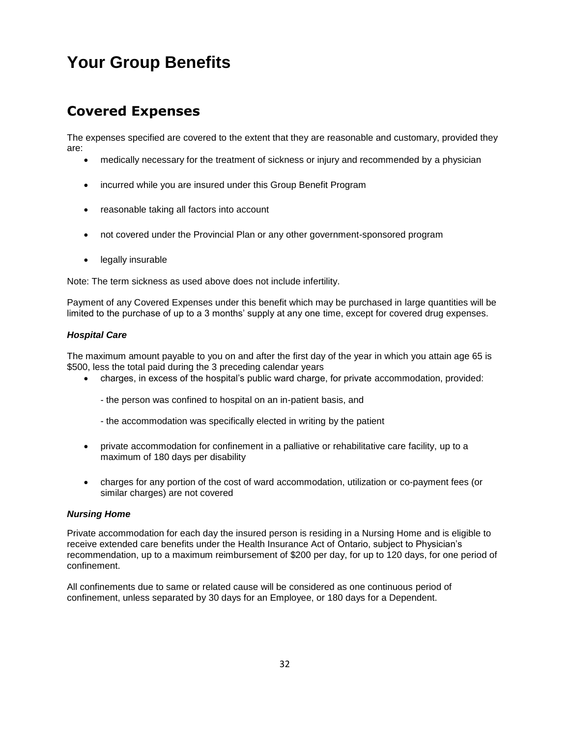### <span id="page-34-0"></span>**Covered Expenses**

The expenses specified are covered to the extent that they are reasonable and customary, provided they are:

- medically necessary for the treatment of sickness or injury and recommended by a physician
- incurred while you are insured under this Group Benefit Program
- reasonable taking all factors into account
- not covered under the Provincial Plan or any other government-sponsored program
- legally insurable

Note: The term sickness as used above does not include infertility.

Payment of any Covered Expenses under this benefit which may be purchased in large quantities will be limited to the purchase of up to a 3 months' supply at any one time, except for covered drug expenses.

#### *Hospital Care*

The maximum amount payable to you on and after the first day of the year in which you attain age 65 is \$500, less the total paid during the 3 preceding calendar years

- charges, in excess of the hospital's public ward charge, for private accommodation, provided:
	- the person was confined to hospital on an in-patient basis, and
	- the accommodation was specifically elected in writing by the patient
- private accommodation for confinement in a palliative or rehabilitative care facility, up to a maximum of 180 days per disability
- charges for any portion of the cost of ward accommodation, utilization or co-payment fees (or similar charges) are not covered

#### *Nursing Home*

Private accommodation for each day the insured person is residing in a Nursing Home and is eligible to receive extended care benefits under the Health Insurance Act of Ontario, subject to Physician's recommendation, up to a maximum reimbursement of \$200 per day, for up to 120 days, for one period of confinement.

All confinements due to same or related cause will be considered as one continuous period of confinement, unless separated by 30 days for an Employee, or 180 days for a Dependent.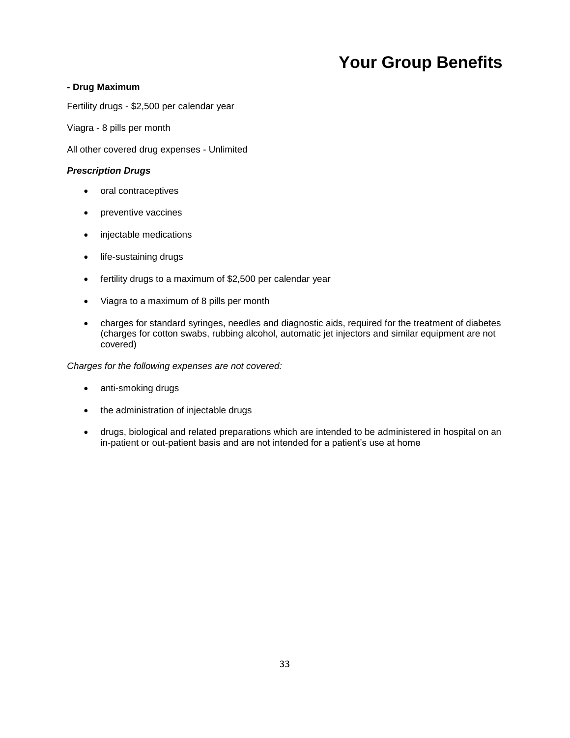#### **- Drug Maximum**

Fertility drugs - \$2,500 per calendar year

Viagra - 8 pills per month

All other covered drug expenses - Unlimited

#### *Prescription Drugs*

- oral contraceptives
- preventive vaccines
- injectable medications
- life-sustaining drugs
- fertility drugs to a maximum of \$2,500 per calendar year
- Viagra to a maximum of 8 pills per month
- charges for standard syringes, needles and diagnostic aids, required for the treatment of diabetes (charges for cotton swabs, rubbing alcohol, automatic jet injectors and similar equipment are not covered)

*Charges for the following expenses are not covered:*

- anti-smoking drugs
- the administration of injectable drugs
- drugs, biological and related preparations which are intended to be administered in hospital on an in-patient or out-patient basis and are not intended for a patient's use at home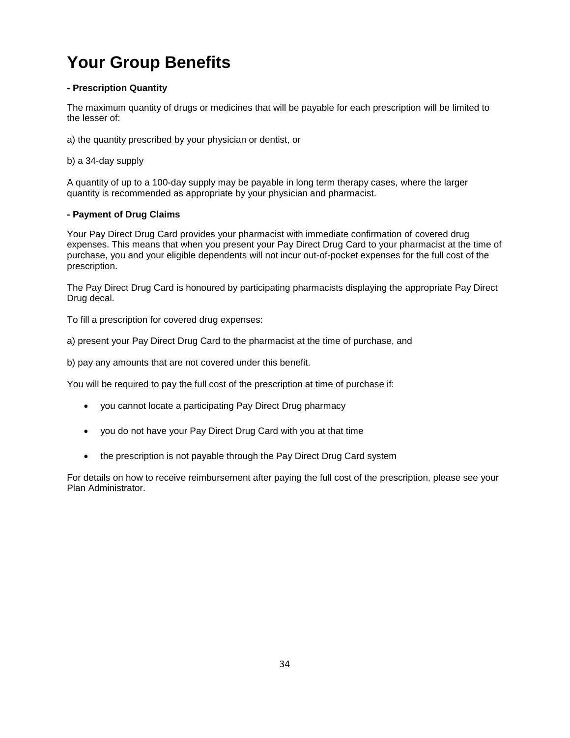#### **- Prescription Quantity**

The maximum quantity of drugs or medicines that will be payable for each prescription will be limited to the lesser of:

a) the quantity prescribed by your physician or dentist, or

b) a 34-day supply

A quantity of up to a 100-day supply may be payable in long term therapy cases, where the larger quantity is recommended as appropriate by your physician and pharmacist.

#### **- Payment of Drug Claims**

Your Pay Direct Drug Card provides your pharmacist with immediate confirmation of covered drug expenses. This means that when you present your Pay Direct Drug Card to your pharmacist at the time of purchase, you and your eligible dependents will not incur out-of-pocket expenses for the full cost of the prescription.

The Pay Direct Drug Card is honoured by participating pharmacists displaying the appropriate Pay Direct Drug decal.

To fill a prescription for covered drug expenses:

a) present your Pay Direct Drug Card to the pharmacist at the time of purchase, and

b) pay any amounts that are not covered under this benefit.

You will be required to pay the full cost of the prescription at time of purchase if:

- you cannot locate a participating Pay Direct Drug pharmacy
- you do not have your Pay Direct Drug Card with you at that time
- the prescription is not payable through the Pay Direct Drug Card system

For details on how to receive reimbursement after paying the full cost of the prescription, please see your Plan Administrator.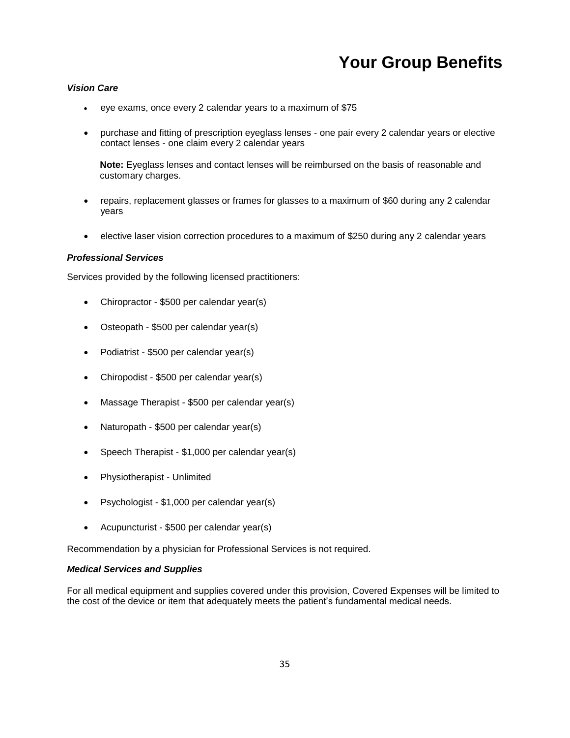#### *Vision Care*

- eye exams, once every 2 calendar years to a maximum of \$75
- purchase and fitting of prescription eyeglass lenses one pair every 2 calendar years or elective contact lenses - one claim every 2 calendar years

**Note:** Eyeglass lenses and contact lenses will be reimbursed on the basis of reasonable and customary charges.

- repairs, replacement glasses or frames for glasses to a maximum of \$60 during any 2 calendar years
- elective laser vision correction procedures to a maximum of \$250 during any 2 calendar years

#### *Professional Services*

Services provided by the following licensed practitioners:

- Chiropractor \$500 per calendar year(s)
- Osteopath \$500 per calendar year(s)
- Podiatrist \$500 per calendar year(s)
- Chiropodist \$500 per calendar year(s)
- Massage Therapist \$500 per calendar year(s)
- Naturopath \$500 per calendar year(s)
- Speech Therapist \$1,000 per calendar year(s)
- Physiotherapist Unlimited
- Psychologist \$1,000 per calendar year(s)
- Acupuncturist \$500 per calendar year(s)

Recommendation by a physician for Professional Services is not required.

#### *Medical Services and Supplies*

For all medical equipment and supplies covered under this provision, Covered Expenses will be limited to the cost of the device or item that adequately meets the patient's fundamental medical needs.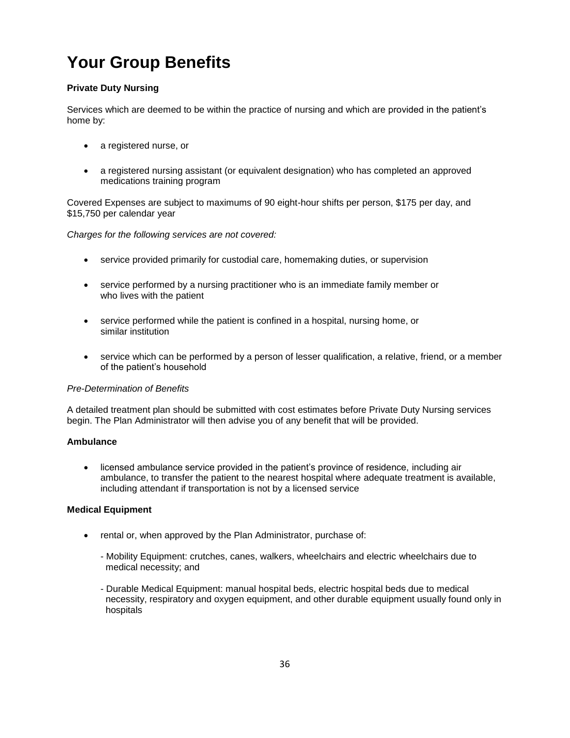#### **Private Duty Nursing**

Services which are deemed to be within the practice of nursing and which are provided in the patient's home by:

- a registered nurse, or
- a registered nursing assistant (or equivalent designation) who has completed an approved medications training program

Covered Expenses are subject to maximums of 90 eight-hour shifts per person, \$175 per day, and \$15,750 per calendar year

*Charges for the following services are not covered:*

- service provided primarily for custodial care, homemaking duties, or supervision
- service performed by a nursing practitioner who is an immediate family member or who lives with the patient
- service performed while the patient is confined in a hospital, nursing home, or similar institution
- service which can be performed by a person of lesser qualification, a relative, friend, or a member of the patient's household

#### *Pre-Determination of Benefits*

A detailed treatment plan should be submitted with cost estimates before Private Duty Nursing services begin. The Plan Administrator will then advise you of any benefit that will be provided.

#### **Ambulance**

 licensed ambulance service provided in the patient's province of residence, including air ambulance, to transfer the patient to the nearest hospital where adequate treatment is available, including attendant if transportation is not by a licensed service

#### **Medical Equipment**

- rental or, when approved by the Plan Administrator, purchase of:
	- Mobility Equipment: crutches, canes, walkers, wheelchairs and electric wheelchairs due to medical necessity; and
	- Durable Medical Equipment: manual hospital beds, electric hospital beds due to medical necessity, respiratory and oxygen equipment, and other durable equipment usually found only in hospitals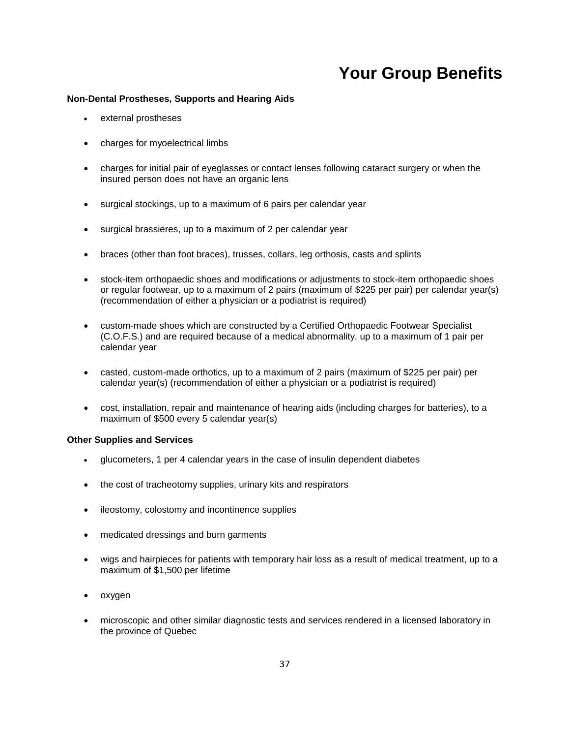#### **Non-Dental Prostheses, Supports and Hearing Aids**

- external prostheses
- charges for myoelectrical limbs
- charges for initial pair of eyeglasses or contact lenses following cataract surgery or when the insured person does not have an organic lens
- surgical stockings, up to a maximum of 6 pairs per calendar year
- surgical brassieres, up to a maximum of 2 per calendar year
- braces (other than foot braces), trusses, collars, leg orthosis, casts and splints
- stock-item orthopaedic shoes and modifications or adjustments to stock-item orthopaedic shoes or regular footwear, up to a maximum of 2 pairs (maximum of \$225 per pair) per calendar year(s) (recommendation of either a physician or a podiatrist is required)
- custom-made shoes which are constructed by a Certified Orthopaedic Footwear Specialist (C.O.F.S.) and are required because of a medical abnormality, up to a maximum of 1 pair per calendar year
- casted, custom-made orthotics, up to a maximum of 2 pairs (maximum of \$225 per pair) per calendar year(s) (recommendation of either a physician or a podiatrist is required)
- cost, installation, repair and maintenance of hearing aids (including charges for batteries), to a maximum of \$500 every 5 calendar year(s)

#### **Other Supplies and Services**

- glucometers, 1 per 4 calendar years in the case of insulin dependent diabetes
- the cost of tracheotomy supplies, urinary kits and respirators
- ileostomy, colostomy and incontinence supplies
- medicated dressings and burn garments
- wigs and hairpieces for patients with temporary hair loss as a result of medical treatment, up to a maximum of \$1,500 per lifetime
- oxygen
- microscopic and other similar diagnostic tests and services rendered in a licensed laboratory in the province of Quebec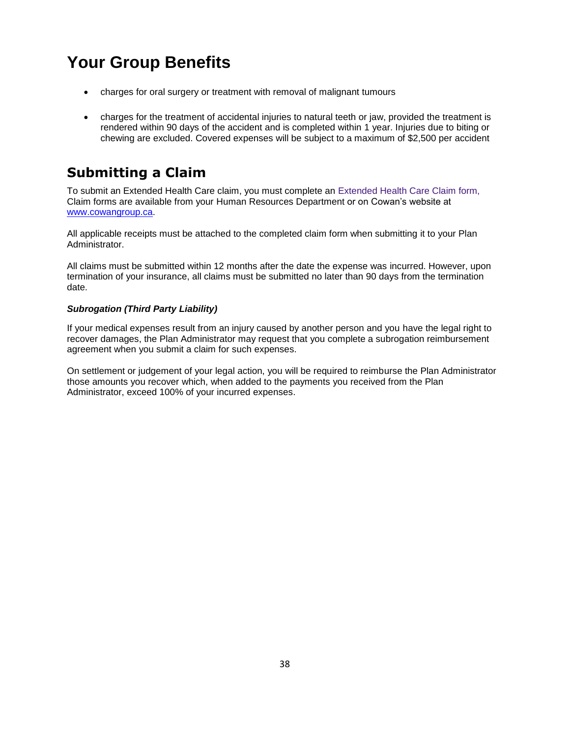- charges for oral surgery or treatment with removal of malignant tumours
- charges for the treatment of accidental injuries to natural teeth or jaw, provided the treatment is rendered within 90 days of the accident and is completed within 1 year. Injuries due to biting or chewing are excluded. Covered expenses will be subject to a maximum of \$2,500 per accident

### <span id="page-40-0"></span>**Submitting a Claim**

To submit an Extended Health Care claim, you must complete an Extended Health Care Claim form, Claim forms are available from your Human Resources Department or on Cowan's website at [www.cowangroup.ca.](http://www.cowangroup.ca/)

All applicable receipts must be attached to the completed claim form when submitting it to your Plan Administrator.

All claims must be submitted within 12 months after the date the expense was incurred. However, upon termination of your insurance, all claims must be submitted no later than 90 days from the termination date.

#### *Subrogation (Third Party Liability)*

If your medical expenses result from an injury caused by another person and you have the legal right to recover damages, the Plan Administrator may request that you complete a subrogation reimbursement agreement when you submit a claim for such expenses.

On settlement or judgement of your legal action, you will be required to reimburse the Plan Administrator those amounts you recover which, when added to the payments you received from the Plan Administrator, exceed 100% of your incurred expenses.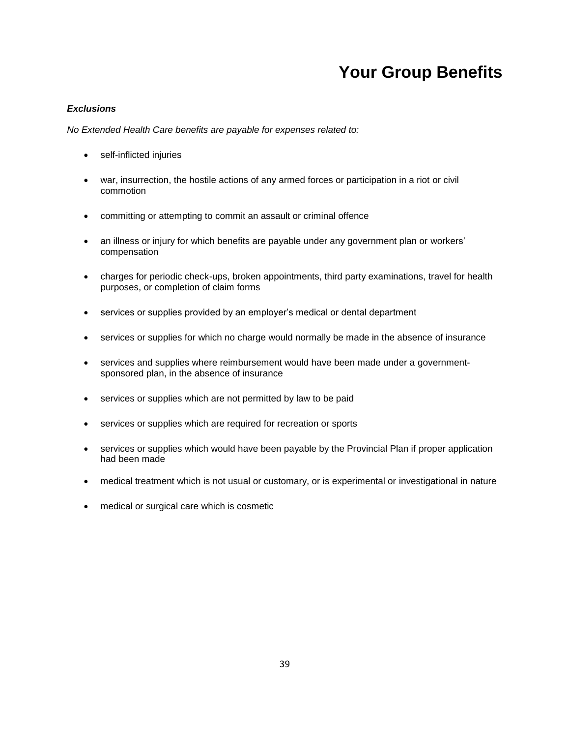#### *Exclusions*

*No Extended Health Care benefits are payable for expenses related to:*

- self-inflicted injuries
- war, insurrection, the hostile actions of any armed forces or participation in a riot or civil commotion
- committing or attempting to commit an assault or criminal offence
- an illness or injury for which benefits are payable under any government plan or workers' compensation
- charges for periodic check-ups, broken appointments, third party examinations, travel for health purposes, or completion of claim forms
- services or supplies provided by an employer's medical or dental department
- services or supplies for which no charge would normally be made in the absence of insurance
- services and supplies where reimbursement would have been made under a governmentsponsored plan, in the absence of insurance
- services or supplies which are not permitted by law to be paid
- services or supplies which are required for recreation or sports
- services or supplies which would have been payable by the Provincial Plan if proper application had been made
- medical treatment which is not usual or customary, or is experimental or investigational in nature
- medical or surgical care which is cosmetic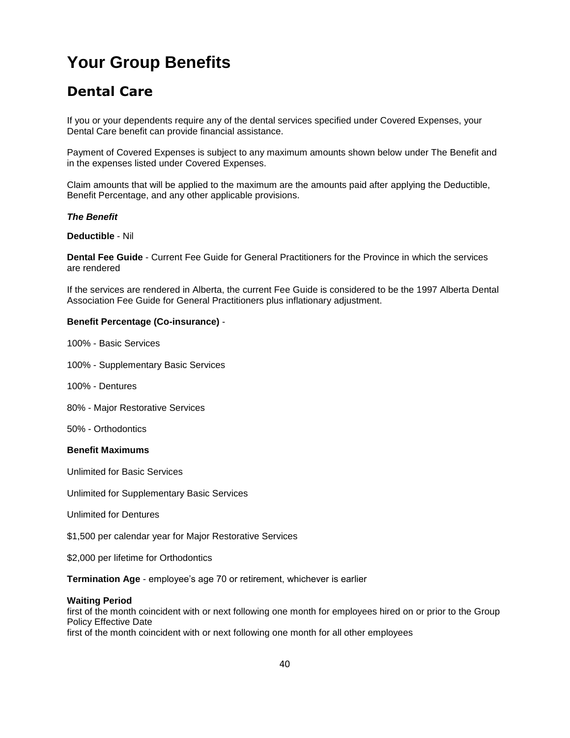### <span id="page-42-0"></span>**Dental Care**

If you or your dependents require any of the dental services specified under Covered Expenses, your Dental Care benefit can provide financial assistance.

Payment of Covered Expenses is subject to any maximum amounts shown below under The Benefit and in the expenses listed under Covered Expenses.

Claim amounts that will be applied to the maximum are the amounts paid after applying the Deductible, Benefit Percentage, and any other applicable provisions.

#### *The Benefit*

#### **Deductible** - Nil

**Dental Fee Guide** - Current Fee Guide for General Practitioners for the Province in which the services are rendered

If the services are rendered in Alberta, the current Fee Guide is considered to be the 1997 Alberta Dental Association Fee Guide for General Practitioners plus inflationary adjustment.

#### **Benefit Percentage (Co-insurance)** -

100% - Basic Services

- 100% Supplementary Basic Services
- 100% Dentures
- 80% Major Restorative Services
- 50% Orthodontics

#### **Benefit Maximums**

Unlimited for Basic Services

Unlimited for Supplementary Basic Services

Unlimited for Dentures

\$1,500 per calendar year for Major Restorative Services

\$2,000 per lifetime for Orthodontics

**Termination Age** - employee's age 70 or retirement, whichever is earlier

#### **Waiting Period**

first of the month coincident with or next following one month for employees hired on or prior to the Group Policy Effective Date first of the month coincident with or next following one month for all other employees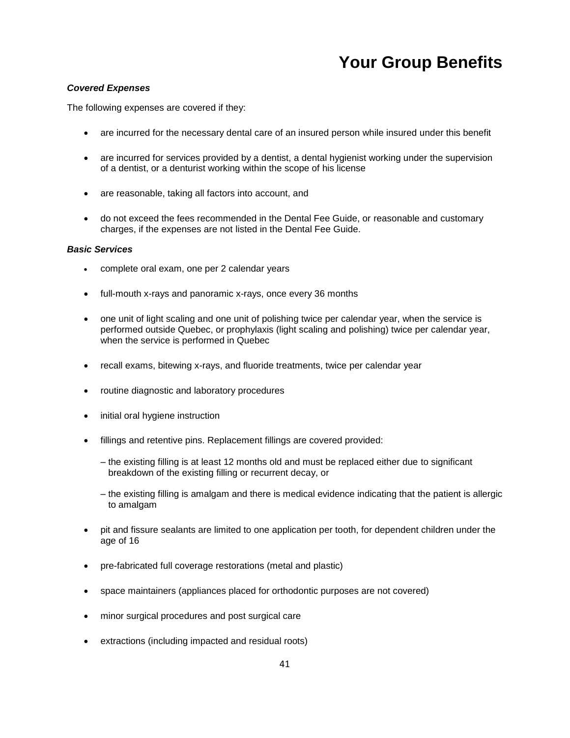#### *Covered Expenses*

The following expenses are covered if they:

- are incurred for the necessary dental care of an insured person while insured under this benefit
- are incurred for services provided by a dentist, a dental hygienist working under the supervision of a dentist, or a denturist working within the scope of his license
- are reasonable, taking all factors into account, and
- do not exceed the fees recommended in the Dental Fee Guide, or reasonable and customary charges, if the expenses are not listed in the Dental Fee Guide.

#### *Basic Services*

- complete oral exam, one per 2 calendar years
- full-mouth x-rays and panoramic x-rays, once every 36 months
- one unit of light scaling and one unit of polishing twice per calendar year, when the service is performed outside Quebec, or prophylaxis (light scaling and polishing) twice per calendar year, when the service is performed in Quebec
- recall exams, bitewing x-rays, and fluoride treatments, twice per calendar year
- routine diagnostic and laboratory procedures
- initial oral hygiene instruction
- fillings and retentive pins. Replacement fillings are covered provided:
	- the existing filling is at least 12 months old and must be replaced either due to significant breakdown of the existing filling or recurrent decay, or
	- the existing filling is amalgam and there is medical evidence indicating that the patient is allergic to amalgam
- pit and fissure sealants are limited to one application per tooth, for dependent children under the age of 16
- pre-fabricated full coverage restorations (metal and plastic)
- space maintainers (appliances placed for orthodontic purposes are not covered)
- minor surgical procedures and post surgical care
- extractions (including impacted and residual roots)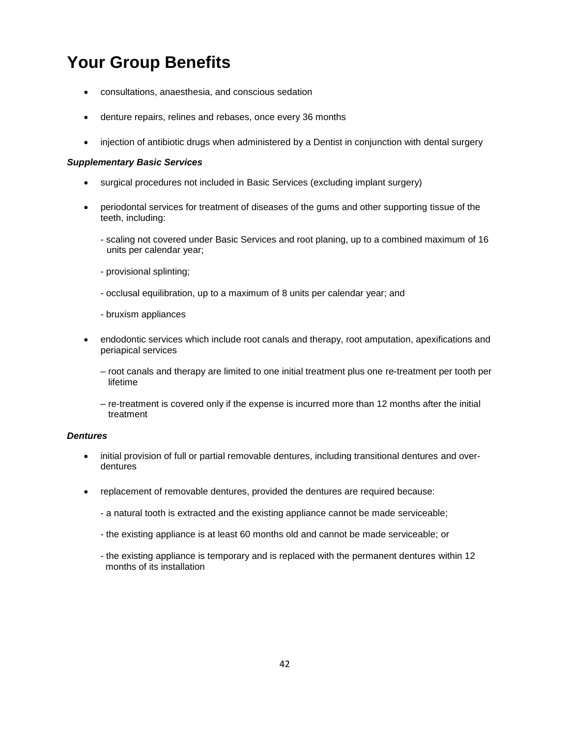- consultations, anaesthesia, and conscious sedation
- denture repairs, relines and rebases, once every 36 months
- injection of antibiotic drugs when administered by a Dentist in conjunction with dental surgery

#### *Supplementary Basic Services*

- surgical procedures not included in Basic Services (excluding implant surgery)
- periodontal services for treatment of diseases of the gums and other supporting tissue of the teeth, including:
	- scaling not covered under Basic Services and root planing, up to a combined maximum of 16 units per calendar year;
	- provisional splinting;
	- occlusal equilibration, up to a maximum of 8 units per calendar year; and
	- bruxism appliances
- endodontic services which include root canals and therapy, root amputation, apexifications and periapical services
	- root canals and therapy are limited to one initial treatment plus one re-treatment per tooth per lifetime
	- re-treatment is covered only if the expense is incurred more than 12 months after the initial treatment

#### *Dentures*

- initial provision of full or partial removable dentures, including transitional dentures and overdentures
- replacement of removable dentures, provided the dentures are required because:
	- a natural tooth is extracted and the existing appliance cannot be made serviceable;
	- the existing appliance is at least 60 months old and cannot be made serviceable; or
	- the existing appliance is temporary and is replaced with the permanent dentures within 12 months of its installation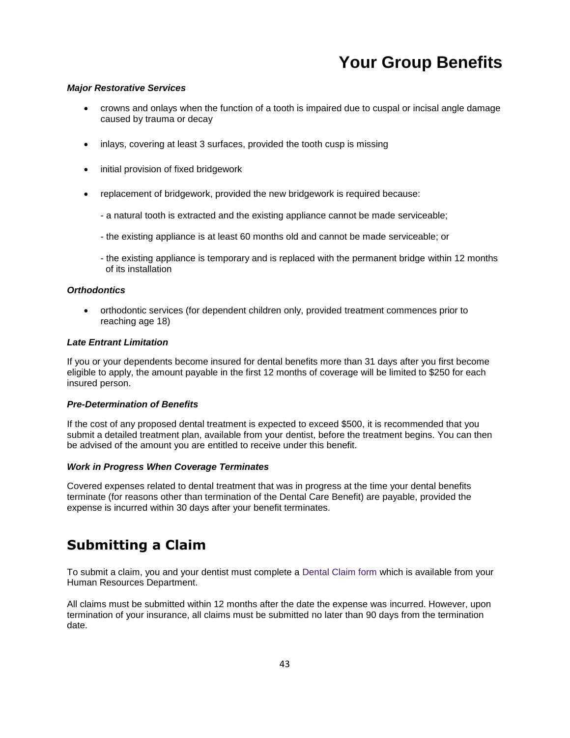#### *Major Restorative Services*

- crowns and onlays when the function of a tooth is impaired due to cuspal or incisal angle damage caused by trauma or decay
- inlays, covering at least 3 surfaces, provided the tooth cusp is missing
- initial provision of fixed bridgework
- replacement of bridgework, provided the new bridgework is required because:
	- a natural tooth is extracted and the existing appliance cannot be made serviceable;
	- the existing appliance is at least 60 months old and cannot be made serviceable; or
	- the existing appliance is temporary and is replaced with the permanent bridge within 12 months of its installation

#### *Orthodontics*

 orthodontic services (for dependent children only, provided treatment commences prior to reaching age 18)

#### *Late Entrant Limitation*

If you or your dependents become insured for dental benefits more than 31 days after you first become eligible to apply, the amount payable in the first 12 months of coverage will be limited to \$250 for each insured person.

#### *Pre-Determination of Benefits*

If the cost of any proposed dental treatment is expected to exceed \$500, it is recommended that you submit a detailed treatment plan, available from your dentist, before the treatment begins. You can then be advised of the amount you are entitled to receive under this benefit.

#### *Work in Progress When Coverage Terminates*

Covered expenses related to dental treatment that was in progress at the time your dental benefits terminate (for reasons other than termination of the Dental Care Benefit) are payable, provided the expense is incurred within 30 days after your benefit terminates.

### <span id="page-45-0"></span>**Submitting a Claim**

To submit a claim, you and your dentist must complete a Dental Claim form which is available from your Human Resources Department.

All claims must be submitted within 12 months after the date the expense was incurred. However, upon termination of your insurance, all claims must be submitted no later than 90 days from the termination date.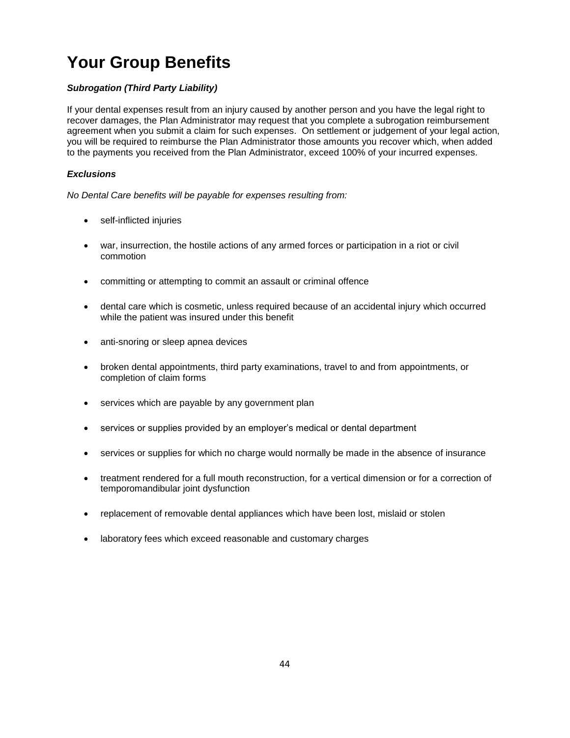#### *Subrogation (Third Party Liability)*

If your dental expenses result from an injury caused by another person and you have the legal right to recover damages, the Plan Administrator may request that you complete a subrogation reimbursement agreement when you submit a claim for such expenses. On settlement or judgement of your legal action, you will be required to reimburse the Plan Administrator those amounts you recover which, when added to the payments you received from the Plan Administrator, exceed 100% of your incurred expenses.

#### *Exclusions*

*No Dental Care benefits will be payable for expenses resulting from:*

- self-inflicted injuries
- war, insurrection, the hostile actions of any armed forces or participation in a riot or civil commotion
- committing or attempting to commit an assault or criminal offence
- dental care which is cosmetic, unless required because of an accidental injury which occurred while the patient was insured under this benefit
- anti-snoring or sleep apnea devices
- broken dental appointments, third party examinations, travel to and from appointments, or completion of claim forms
- services which are payable by any government plan
- services or supplies provided by an employer's medical or dental department
- services or supplies for which no charge would normally be made in the absence of insurance
- treatment rendered for a full mouth reconstruction, for a vertical dimension or for a correction of temporomandibular joint dysfunction
- replacement of removable dental appliances which have been lost, mislaid or stolen
- laboratory fees which exceed reasonable and customary charges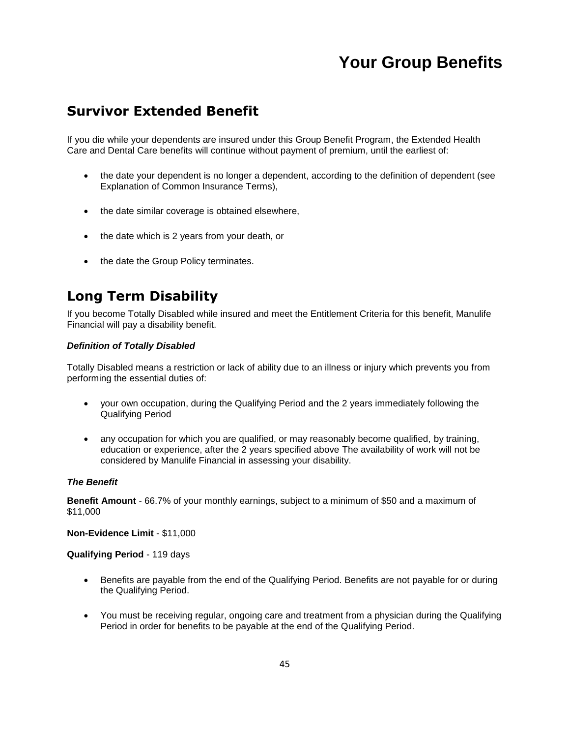### <span id="page-47-1"></span>**Survivor Extended Benefit**

If you die while your dependents are insured under this Group Benefit Program, the Extended Health Care and Dental Care benefits will continue without payment of premium, until the earliest of:

- the date your dependent is no longer a dependent, according to the definition of dependent (see Explanation of Common Insurance Terms),
- the date similar coverage is obtained elsewhere,
- the date which is 2 years from your death, or
- the date the Group Policy terminates.

### <span id="page-47-0"></span>**Long Term Disability**

If you become Totally Disabled while insured and meet the Entitlement Criteria for this benefit, Manulife Financial will pay a disability benefit.

#### *Definition of Totally Disabled*

Totally Disabled means a restriction or lack of ability due to an illness or injury which prevents you from performing the essential duties of:

- your own occupation, during the Qualifying Period and the 2 years immediately following the Qualifying Period
- any occupation for which you are qualified, or may reasonably become qualified, by training, education or experience, after the 2 years specified above The availability of work will not be considered by Manulife Financial in assessing your disability.

#### *The Benefit*

**Benefit Amount** - 66.7% of your monthly earnings, subject to a minimum of \$50 and a maximum of \$11,000

**Non-Evidence Limit** - \$11,000

**Qualifying Period** - 119 days

- Benefits are payable from the end of the Qualifying Period. Benefits are not payable for or during the Qualifying Period.
- You must be receiving regular, ongoing care and treatment from a physician during the Qualifying Period in order for benefits to be payable at the end of the Qualifying Period.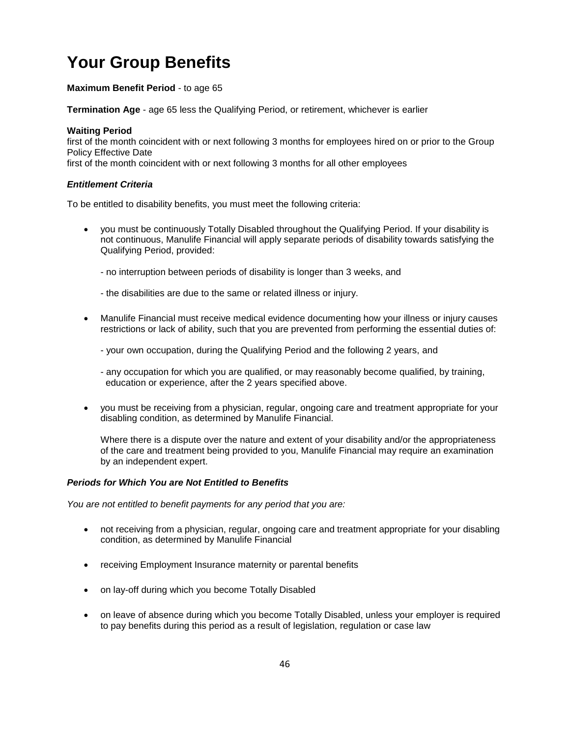#### **Maximum Benefit Period** - to age 65

**Termination Age** - age 65 less the Qualifying Period, or retirement, whichever is earlier

#### **Waiting Period**

first of the month coincident with or next following 3 months for employees hired on or prior to the Group Policy Effective Date

first of the month coincident with or next following 3 months for all other employees

#### *Entitlement Criteria*

To be entitled to disability benefits, you must meet the following criteria:

- you must be continuously Totally Disabled throughout the Qualifying Period. If your disability is not continuous, Manulife Financial will apply separate periods of disability towards satisfying the Qualifying Period, provided:
	- no interruption between periods of disability is longer than 3 weeks, and
	- the disabilities are due to the same or related illness or injury.
- Manulife Financial must receive medical evidence documenting how your illness or injury causes restrictions or lack of ability, such that you are prevented from performing the essential duties of:
	- your own occupation, during the Qualifying Period and the following 2 years, and
	- any occupation for which you are qualified, or may reasonably become qualified, by training, education or experience, after the 2 years specified above.
- you must be receiving from a physician, regular, ongoing care and treatment appropriate for your disabling condition, as determined by Manulife Financial.

Where there is a dispute over the nature and extent of your disability and/or the appropriateness of the care and treatment being provided to you, Manulife Financial may require an examination by an independent expert.

#### *Periods for Which You are Not Entitled to Benefits*

*You are not entitled to benefit payments for any period that you are:*

- not receiving from a physician, regular, ongoing care and treatment appropriate for your disabling condition, as determined by Manulife Financial
- receiving Employment Insurance maternity or parental benefits
- on lay-off during which you become Totally Disabled
- on leave of absence during which you become Totally Disabled, unless your employer is required to pay benefits during this period as a result of legislation, regulation or case law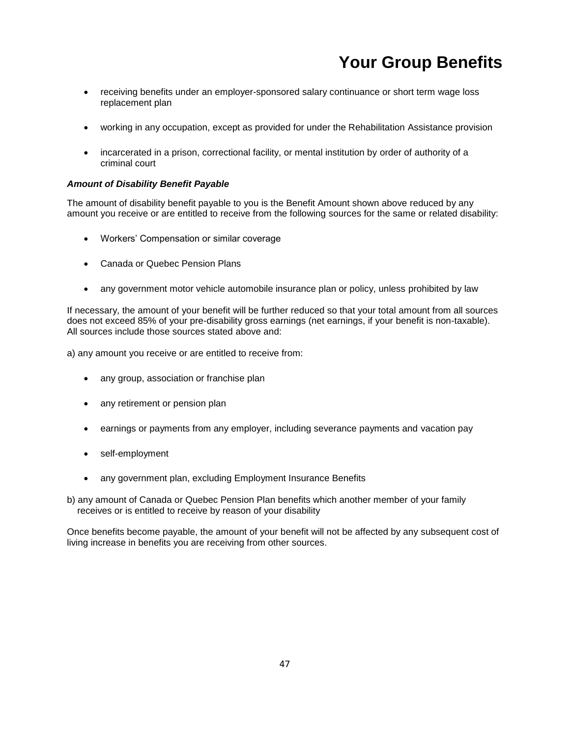- receiving benefits under an employer-sponsored salary continuance or short term wage loss replacement plan
- working in any occupation, except as provided for under the Rehabilitation Assistance provision
- incarcerated in a prison, correctional facility, or mental institution by order of authority of a criminal court

#### *Amount of Disability Benefit Payable*

The amount of disability benefit payable to you is the Benefit Amount shown above reduced by any amount you receive or are entitled to receive from the following sources for the same or related disability:

- Workers' Compensation or similar coverage
- Canada or Quebec Pension Plans
- any government motor vehicle automobile insurance plan or policy, unless prohibited by law

If necessary, the amount of your benefit will be further reduced so that your total amount from all sources does not exceed 85% of your pre-disability gross earnings (net earnings, if your benefit is non-taxable). All sources include those sources stated above and:

a) any amount you receive or are entitled to receive from:

- any group, association or franchise plan
- any retirement or pension plan
- earnings or payments from any employer, including severance payments and vacation pay
- self-employment
- any government plan, excluding Employment Insurance Benefits
- b) any amount of Canada or Quebec Pension Plan benefits which another member of your family receives or is entitled to receive by reason of your disability

Once benefits become payable, the amount of your benefit will not be affected by any subsequent cost of living increase in benefits you are receiving from other sources.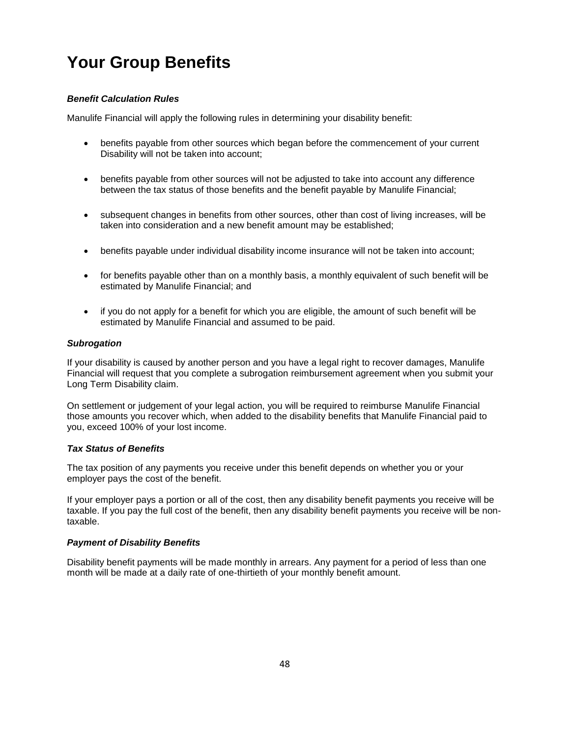#### *Benefit Calculation Rules*

Manulife Financial will apply the following rules in determining your disability benefit:

- benefits payable from other sources which began before the commencement of your current Disability will not be taken into account;
- benefits payable from other sources will not be adjusted to take into account any difference between the tax status of those benefits and the benefit payable by Manulife Financial;
- subsequent changes in benefits from other sources, other than cost of living increases, will be taken into consideration and a new benefit amount may be established;
- benefits payable under individual disability income insurance will not be taken into account;
- for benefits payable other than on a monthly basis, a monthly equivalent of such benefit will be estimated by Manulife Financial; and
- if you do not apply for a benefit for which you are eligible, the amount of such benefit will be estimated by Manulife Financial and assumed to be paid.

#### *Subrogation*

If your disability is caused by another person and you have a legal right to recover damages, Manulife Financial will request that you complete a subrogation reimbursement agreement when you submit your Long Term Disability claim.

On settlement or judgement of your legal action, you will be required to reimburse Manulife Financial those amounts you recover which, when added to the disability benefits that Manulife Financial paid to you, exceed 100% of your lost income.

#### *Tax Status of Benefits*

The tax position of any payments you receive under this benefit depends on whether you or your employer pays the cost of the benefit.

If your employer pays a portion or all of the cost, then any disability benefit payments you receive will be taxable. If you pay the full cost of the benefit, then any disability benefit payments you receive will be nontaxable.

#### *Payment of Disability Benefits*

Disability benefit payments will be made monthly in arrears. Any payment for a period of less than one month will be made at a daily rate of one-thirtieth of your monthly benefit amount.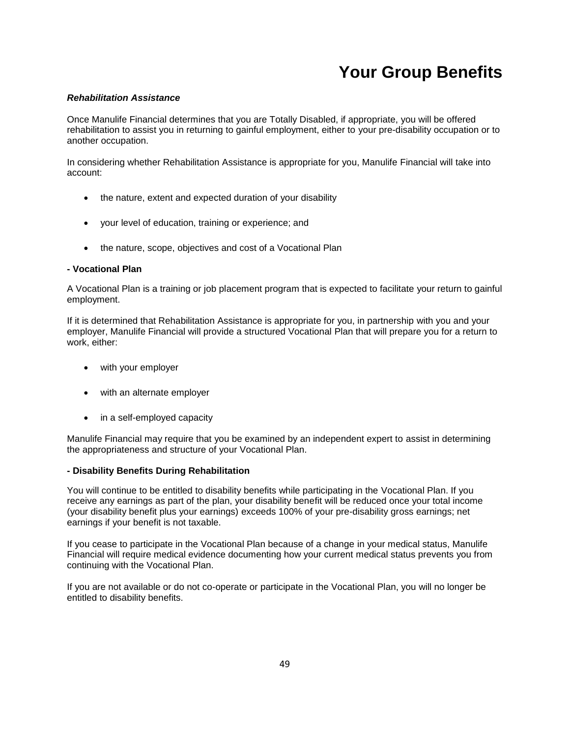#### *Rehabilitation Assistance*

Once Manulife Financial determines that you are Totally Disabled, if appropriate, you will be offered rehabilitation to assist you in returning to gainful employment, either to your pre-disability occupation or to another occupation.

In considering whether Rehabilitation Assistance is appropriate for you, Manulife Financial will take into account:

- the nature, extent and expected duration of your disability
- your level of education, training or experience; and
- the nature, scope, objectives and cost of a Vocational Plan

#### **- Vocational Plan**

A Vocational Plan is a training or job placement program that is expected to facilitate your return to gainful employment.

If it is determined that Rehabilitation Assistance is appropriate for you, in partnership with you and your employer, Manulife Financial will provide a structured Vocational Plan that will prepare you for a return to work, either:

- with your employer
- with an alternate employer
- in a self-employed capacity

Manulife Financial may require that you be examined by an independent expert to assist in determining the appropriateness and structure of your Vocational Plan.

#### **- Disability Benefits During Rehabilitation**

You will continue to be entitled to disability benefits while participating in the Vocational Plan. If you receive any earnings as part of the plan, your disability benefit will be reduced once your total income (your disability benefit plus your earnings) exceeds 100% of your pre-disability gross earnings; net earnings if your benefit is not taxable.

If you cease to participate in the Vocational Plan because of a change in your medical status, Manulife Financial will require medical evidence documenting how your current medical status prevents you from continuing with the Vocational Plan.

If you are not available or do not co-operate or participate in the Vocational Plan, you will no longer be entitled to disability benefits.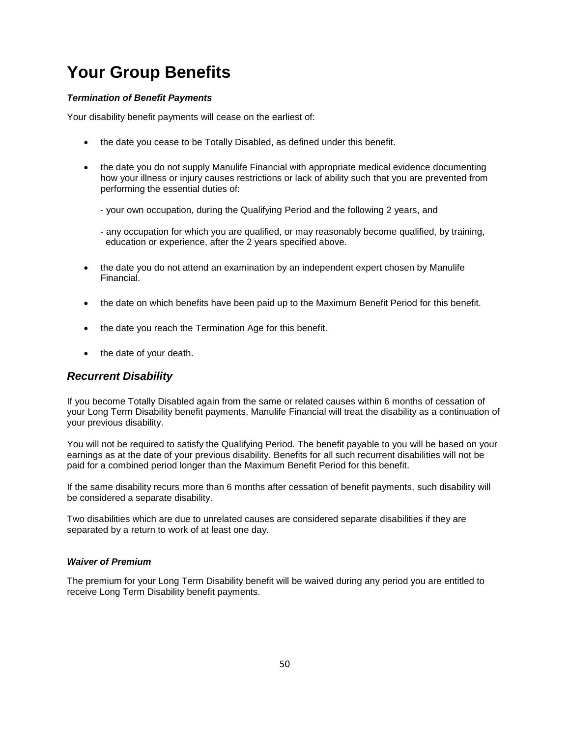#### *Termination of Benefit Payments*

Your disability benefit payments will cease on the earliest of:

- the date you cease to be Totally Disabled, as defined under this benefit.
- the date you do not supply Manulife Financial with appropriate medical evidence documenting how your illness or injury causes restrictions or lack of ability such that you are prevented from performing the essential duties of:
	- your own occupation, during the Qualifying Period and the following 2 years, and
	- any occupation for which you are qualified, or may reasonably become qualified, by training, education or experience, after the 2 years specified above.
- the date you do not attend an examination by an independent expert chosen by Manulife Financial.
- the date on which benefits have been paid up to the Maximum Benefit Period for this benefit.
- the date you reach the Termination Age for this benefit.
- the date of your death.

#### <span id="page-52-0"></span>*Recurrent Disability*

If you become Totally Disabled again from the same or related causes within 6 months of cessation of your Long Term Disability benefit payments, Manulife Financial will treat the disability as a continuation of your previous disability.

You will not be required to satisfy the Qualifying Period. The benefit payable to you will be based on your earnings as at the date of your previous disability. Benefits for all such recurrent disabilities will not be paid for a combined period longer than the Maximum Benefit Period for this benefit.

If the same disability recurs more than 6 months after cessation of benefit payments, such disability will be considered a separate disability.

Two disabilities which are due to unrelated causes are considered separate disabilities if they are separated by a return to work of at least one day.

#### *Waiver of Premium*

The premium for your Long Term Disability benefit will be waived during any period you are entitled to receive Long Term Disability benefit payments.